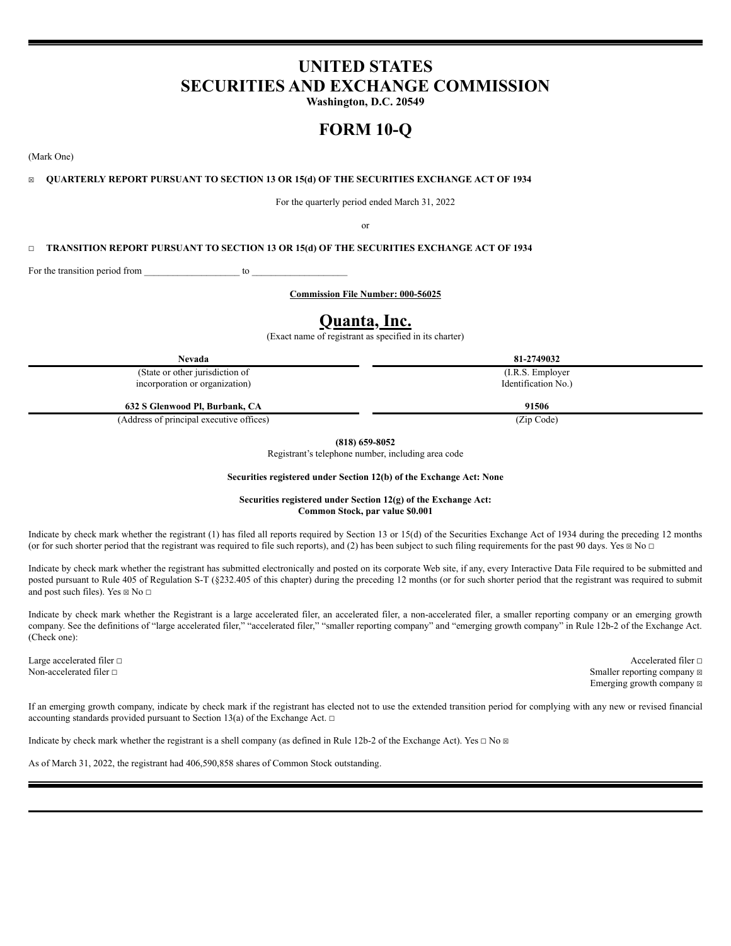# **UNITED STATES SECURITIES AND EXCHANGE COMMISSION**

**Washington, D.C. 20549**

# **FORM 10-Q**

(Mark One)

### ☒ **QUARTERLY REPORT PURSUANT TO SECTION 13 OR 15(d) OF THE SECURITIES EXCHANGE ACT OF 1934**

For the quarterly period ended March 31, 2022

or

## ☐ **TRANSITION REPORT PURSUANT TO SECTION 13 OR 15(d) OF THE SECURITIES EXCHANGE ACT OF 1934**

For the transition period from \_\_\_\_\_\_\_\_\_\_\_\_\_\_\_\_\_\_\_\_\_\_\_\_ to

**Commission File Number: 000-56025**

## **Quanta, Inc.**

(Exact name of registrant as specified in its charter)

**Nevada 81-2749032**

(State or other jurisdiction of incorporation or organization)

**632 S Glenwood Pl, Burbank, CA 91506**

(Address of principal executive offices) (Zip Code)

**(818) 659-8052**

Registrant's telephone number, including area code

#### **Securities registered under Section 12(b) of the Exchange Act: None**

**Securities registered under Section 12(g) of the Exchange Act: Common Stock, par value \$0.001**

Indicate by check mark whether the registrant (1) has filed all reports required by Section 13 or 15(d) of the Securities Exchange Act of 1934 during the preceding 12 months (or for such shorter period that the registrant was required to file such reports), and (2) has been subject to such filing requirements for the past 90 days. Yes  $\boxtimes$  No  $\Box$ 

Indicate by check mark whether the registrant has submitted electronically and posted on its corporate Web site, if any, every Interactive Data File required to be submitted and posted pursuant to Rule 405 of Regulation S-T (§232.405 of this chapter) during the preceding 12 months (or for such shorter period that the registrant was required to submit and post such files). Yes  $\boxtimes$  No  $\Box$ 

Indicate by check mark whether the Registrant is a large accelerated filer, an accelerated filer, a non-accelerated filer, a smaller reporting company or an emerging growth company. See the definitions of "large accelerated filer," "accelerated filer," "smaller reporting company" and "emerging growth company" in Rule 12b-2 of the Exchange Act. (Check one):

Large accelerated filer □ Accelerated filer □ Accelerated filer □ Non-accelerated filer □ Smaller reporting company **⊠** Emerging growth company  $\boxtimes$ 

If an emerging growth company, indicate by check mark if the registrant has elected not to use the extended transition period for complying with any new or revised financial accounting standards provided pursuant to Section 13(a) of the Exchange Act.  $\Box$ 

Indicate by check mark whether the registrant is a shell company (as defined in Rule 12b-2 of the Exchange Act). Yes  $\Box$  No  $\Box$ 

As of March 31, 2022, the registrant had 406,590,858 shares of Common Stock outstanding.

(I.R.S. Employer Identification No.)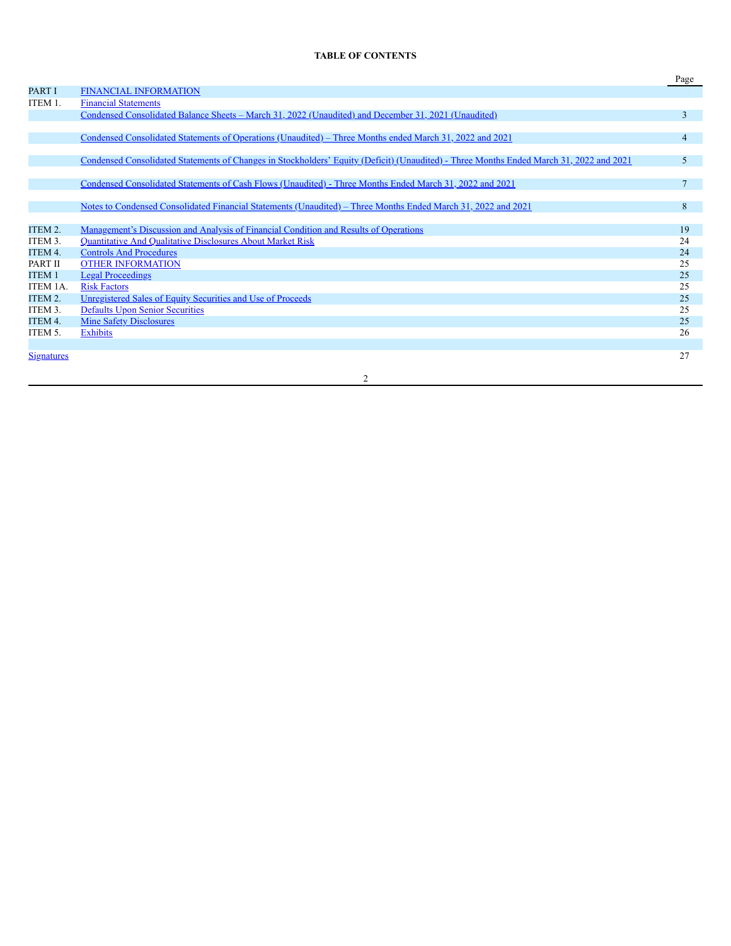## **TABLE OF CONTENTS**

|                   |                                                                                                                                         | Page           |
|-------------------|-----------------------------------------------------------------------------------------------------------------------------------------|----------------|
| <b>PART I</b>     | <b>FINANCIAL INFORMATION</b>                                                                                                            |                |
| ITEM 1.           | <b>Financial Statements</b>                                                                                                             |                |
|                   | Condensed Consolidated Balance Sheets – March 31, 2022 (Unaudited) and December 31, 2021 (Unaudited)                                    | $\overline{3}$ |
|                   |                                                                                                                                         |                |
|                   | Condensed Consolidated Statements of Operations (Unaudited) – Three Months ended March 31, 2022 and 2021                                | $\overline{4}$ |
|                   |                                                                                                                                         |                |
|                   | Condensed Consolidated Statements of Changes in Stockholders' Equity (Deficit) (Unaudited) - Three Months Ended March 31, 2022 and 2021 | 5              |
|                   | Condensed Consolidated Statements of Cash Flows (Unaudited) - Three Months Ended March 31, 2022 and 2021                                | $\overline{7}$ |
|                   |                                                                                                                                         |                |
|                   | Notes to Condensed Consolidated Financial Statements (Unaudited) – Three Months Ended March 31, 2022 and 2021                           | 8              |
|                   |                                                                                                                                         |                |
| ITEM 2.           | <u>Management's Discussion and Analysis of Financial Condition and Results of Operations</u>                                            | 19             |
| ITEM 3.           | Quantitative And Qualitative Disclosures About Market Risk                                                                              | 24             |
| ITEM 4.           | <b>Controls And Procedures</b>                                                                                                          | 24             |
| PART II           | <b>OTHER INFORMATION</b>                                                                                                                | 25             |
| <b>ITEM1</b>      | <b>Legal Proceedings</b>                                                                                                                | 25             |
| ITEM 1A.          | <b>Risk Factors</b>                                                                                                                     | 25             |
| ITEM 2.           | Unregistered Sales of Equity Securities and Use of Proceeds                                                                             | 25             |
| ITEM 3.           | <b>Defaults Upon Senior Securities</b>                                                                                                  | 25             |
| ITEM 4.           | <b>Mine Safety Disclosures</b>                                                                                                          | 25             |
| ITEM 5.           | <b>Exhibits</b>                                                                                                                         | 26             |
|                   |                                                                                                                                         |                |
| <b>Signatures</b> |                                                                                                                                         | 27             |
|                   |                                                                                                                                         |                |

2

<u> 1980 - Johann Barn, mars an t-Amerikaansk kommunister (</u>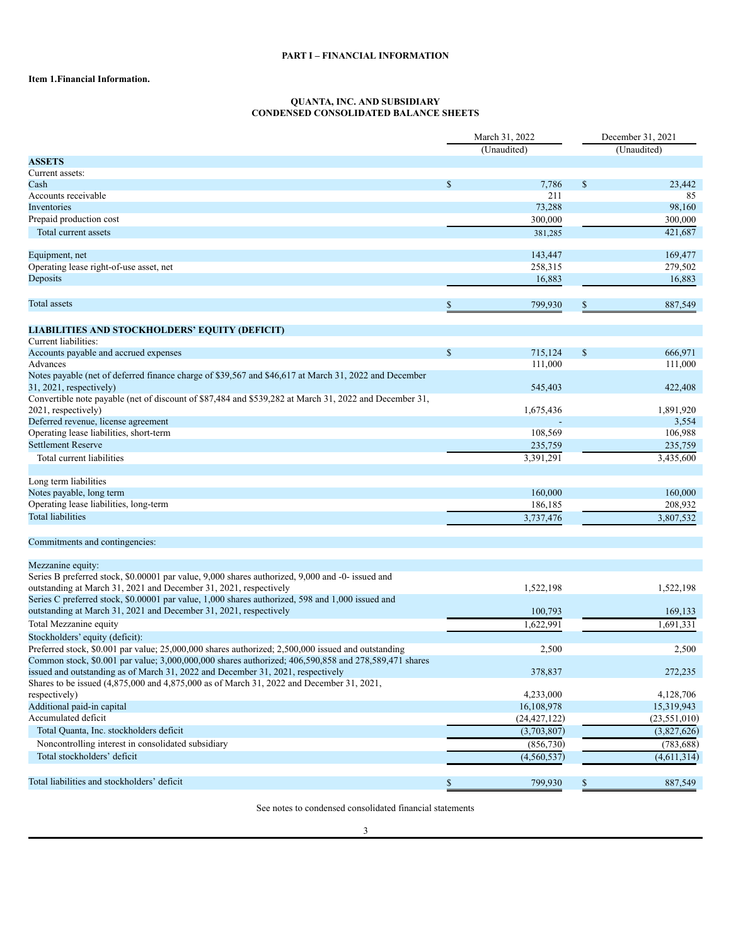## **PART I – FINANCIAL INFORMATION**

## <span id="page-2-2"></span><span id="page-2-1"></span><span id="page-2-0"></span>**Item 1.Financial Information.**

#### **QUANTA, INC. AND SUBSIDIARY CONDENSED CONSOLIDATED BALANCE SHEETS**

| (Unaudited)<br>(Unaudited)<br><b>ASSETS</b><br>Current assets:<br>$\mathcal{S}$<br>7,786<br>\$<br>Cash<br>211<br>Accounts receivable<br>73,288<br>Inventories<br>Prepaid production cost<br>300,000<br>Total current assets<br>381,285<br>Equipment, net<br>143,447<br>Operating lease right-of-use asset, net<br>258,315<br>Deposits<br>16,883<br>Total assets<br>\$<br>799,930<br>\$ | 23,442<br>85<br>98,160<br>300,000<br>421,687 |
|----------------------------------------------------------------------------------------------------------------------------------------------------------------------------------------------------------------------------------------------------------------------------------------------------------------------------------------------------------------------------------------|----------------------------------------------|
|                                                                                                                                                                                                                                                                                                                                                                                        |                                              |
|                                                                                                                                                                                                                                                                                                                                                                                        |                                              |
|                                                                                                                                                                                                                                                                                                                                                                                        |                                              |
|                                                                                                                                                                                                                                                                                                                                                                                        |                                              |
|                                                                                                                                                                                                                                                                                                                                                                                        |                                              |
|                                                                                                                                                                                                                                                                                                                                                                                        |                                              |
|                                                                                                                                                                                                                                                                                                                                                                                        |                                              |
|                                                                                                                                                                                                                                                                                                                                                                                        |                                              |
|                                                                                                                                                                                                                                                                                                                                                                                        |                                              |
|                                                                                                                                                                                                                                                                                                                                                                                        | 169,477                                      |
|                                                                                                                                                                                                                                                                                                                                                                                        | 279,502                                      |
|                                                                                                                                                                                                                                                                                                                                                                                        | 16,883                                       |
|                                                                                                                                                                                                                                                                                                                                                                                        | 887,549                                      |
| LIABILITIES AND STOCKHOLDERS' EQUITY (DEFICIT)                                                                                                                                                                                                                                                                                                                                         |                                              |
| Current liabilities:                                                                                                                                                                                                                                                                                                                                                                   |                                              |
| $\mathbb{S}$<br>$\$$<br>Accounts payable and accrued expenses<br>715,124                                                                                                                                                                                                                                                                                                               | 666,971                                      |
| Advances<br>111,000                                                                                                                                                                                                                                                                                                                                                                    | 111,000                                      |
| Notes payable (net of deferred finance charge of \$39,567 and \$46,617 at March 31, 2022 and December<br>$31, 2021$ , respectively)<br>545,403                                                                                                                                                                                                                                         | 422,408                                      |
| Convertible note payable (net of discount of \$87,484 and \$539,282 at March 31, 2022 and December 31,                                                                                                                                                                                                                                                                                 |                                              |
| 2021, respectively)<br>1,675,436                                                                                                                                                                                                                                                                                                                                                       | 1,891,920                                    |
| Deferred revenue, license agreement                                                                                                                                                                                                                                                                                                                                                    | 3,554                                        |
| Operating lease liabilities, short-term<br>108,569                                                                                                                                                                                                                                                                                                                                     | 106,988                                      |
| <b>Settlement Reserve</b><br>235,759                                                                                                                                                                                                                                                                                                                                                   | 235,759                                      |
| 3,391,291<br>Total current liabilities                                                                                                                                                                                                                                                                                                                                                 | 3,435,600                                    |
| Long term liabilities                                                                                                                                                                                                                                                                                                                                                                  |                                              |
| Notes payable, long term<br>160,000                                                                                                                                                                                                                                                                                                                                                    | 160,000                                      |
| Operating lease liabilities, long-term<br>186,185                                                                                                                                                                                                                                                                                                                                      | 208,932                                      |
| <b>Total liabilities</b><br>3,737,476                                                                                                                                                                                                                                                                                                                                                  | 3,807,532                                    |
| Commitments and contingencies:                                                                                                                                                                                                                                                                                                                                                         |                                              |
| Mezzanine equity:                                                                                                                                                                                                                                                                                                                                                                      |                                              |
| Series B preferred stock, \$0.00001 par value, 9,000 shares authorized, 9,000 and -0- issued and                                                                                                                                                                                                                                                                                       |                                              |
| outstanding at March 31, 2021 and December 31, 2021, respectively<br>1,522,198                                                                                                                                                                                                                                                                                                         | 1,522,198                                    |
| Series C preferred stock, \$0.00001 par value, 1,000 shares authorized, 598 and 1,000 issued and                                                                                                                                                                                                                                                                                       |                                              |
| outstanding at March 31, 2021 and December 31, 2021, respectively<br>100,793                                                                                                                                                                                                                                                                                                           | 169,133                                      |
| Total Mezzanine equity<br>1,622,991                                                                                                                                                                                                                                                                                                                                                    | 1,691,331                                    |
| Stockholders' equity (deficit):                                                                                                                                                                                                                                                                                                                                                        |                                              |
| Preferred stock, \$0.001 par value; 25,000,000 shares authorized; 2,500,000 issued and outstanding<br>2,500                                                                                                                                                                                                                                                                            | 2,500                                        |
| Common stock, \$0.001 par value; 3,000,000,000 shares authorized; 406,590,858 and 278,589,471 shares                                                                                                                                                                                                                                                                                   |                                              |
| issued and outstanding as of March 31, 2022 and December 31, 2021, respectively<br>378,837                                                                                                                                                                                                                                                                                             | 272,235                                      |
| Shares to be issued (4,875,000 and 4,875,000 as of March 31, 2022 and December 31, 2021,<br>4,233,000<br>respectively)                                                                                                                                                                                                                                                                 | 4,128,706                                    |
| Additional paid-in capital                                                                                                                                                                                                                                                                                                                                                             |                                              |
| 16,108,978<br>Accumulated deficit                                                                                                                                                                                                                                                                                                                                                      | 15,319,943                                   |
| (24, 427, 122)                                                                                                                                                                                                                                                                                                                                                                         | (23, 551, 010)                               |
| Total Quanta, Inc. stockholders deficit<br>(3,703,807)                                                                                                                                                                                                                                                                                                                                 | (3,827,626)                                  |
| Noncontrolling interest in consolidated subsidiary<br>(856, 730)                                                                                                                                                                                                                                                                                                                       | (783, 688)                                   |
| Total stockholders' deficit<br>(4, 560, 537)                                                                                                                                                                                                                                                                                                                                           | (4,611,314)                                  |
| Total liabilities and stockholders' deficit<br>799,930<br>\$                                                                                                                                                                                                                                                                                                                           | 887,549                                      |

See notes to condensed consolidated financial statements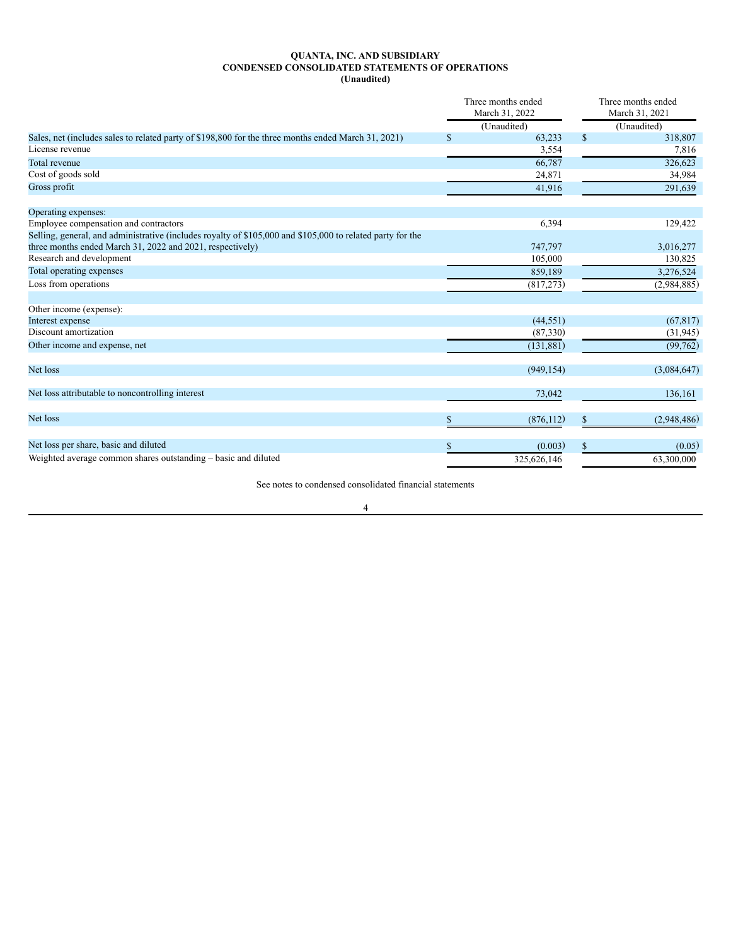#### **QUANTA, INC. AND SUBSIDIARY CONDENSED CONSOLIDATED STATEMENTS OF OPERATIONS (Unaudited)**

<span id="page-3-0"></span>

|                                                                                                            |               | Three months ended<br>March 31, 2022 |               | Three months ended<br>March 31, 2021 |
|------------------------------------------------------------------------------------------------------------|---------------|--------------------------------------|---------------|--------------------------------------|
|                                                                                                            |               | (Unaudited)                          |               | (Unaudited)                          |
| Sales, net (includes sales to related party of \$198,800 for the three months ended March 31, 2021)        | <sup>\$</sup> | 63,233                               | $\mathcal{S}$ | 318,807                              |
| License revenue                                                                                            |               | 3,554                                |               | 7,816                                |
| Total revenue                                                                                              |               | 66,787                               |               | 326,623                              |
| Cost of goods sold                                                                                         |               | 24,871                               |               | 34,984                               |
| Gross profit                                                                                               |               | 41,916                               |               | 291,639                              |
| Operating expenses:                                                                                        |               |                                      |               |                                      |
| Employee compensation and contractors                                                                      |               | 6,394                                |               | 129,422                              |
| Selling, general, and administrative (includes royalty of \$105,000 and \$105,000 to related party for the |               |                                      |               |                                      |
| three months ended March 31, 2022 and 2021, respectively)                                                  |               | 747,797                              |               | 3,016,277                            |
| Research and development                                                                                   |               | 105,000                              |               | 130,825                              |
| Total operating expenses                                                                                   |               | 859,189                              |               | 3,276,524                            |
| Loss from operations                                                                                       |               | (817, 273)                           |               | (2,984,885)                          |
| Other income (expense):                                                                                    |               |                                      |               |                                      |
| Interest expense                                                                                           |               | (44, 551)                            |               | (67, 817)                            |
| Discount amortization                                                                                      |               | (87, 330)                            |               | (31, 945)                            |
| Other income and expense, net                                                                              |               | (131, 881)                           |               | (99, 762)                            |
| Net loss                                                                                                   |               | (949, 154)                           |               | (3,084,647)                          |
| Net loss attributable to noncontrolling interest                                                           |               | 73,042                               |               | 136,161                              |
| Net loss                                                                                                   |               | (876, 112)                           | \$            | (2,948,486)                          |
| Net loss per share, basic and diluted                                                                      | <sup>\$</sup> | (0.003)                              | $\mathbf{s}$  | (0.05)                               |
| Weighted average common shares outstanding – basic and diluted                                             |               | 325,626,146                          |               | 63,300,000                           |

See notes to condensed consolidated financial statements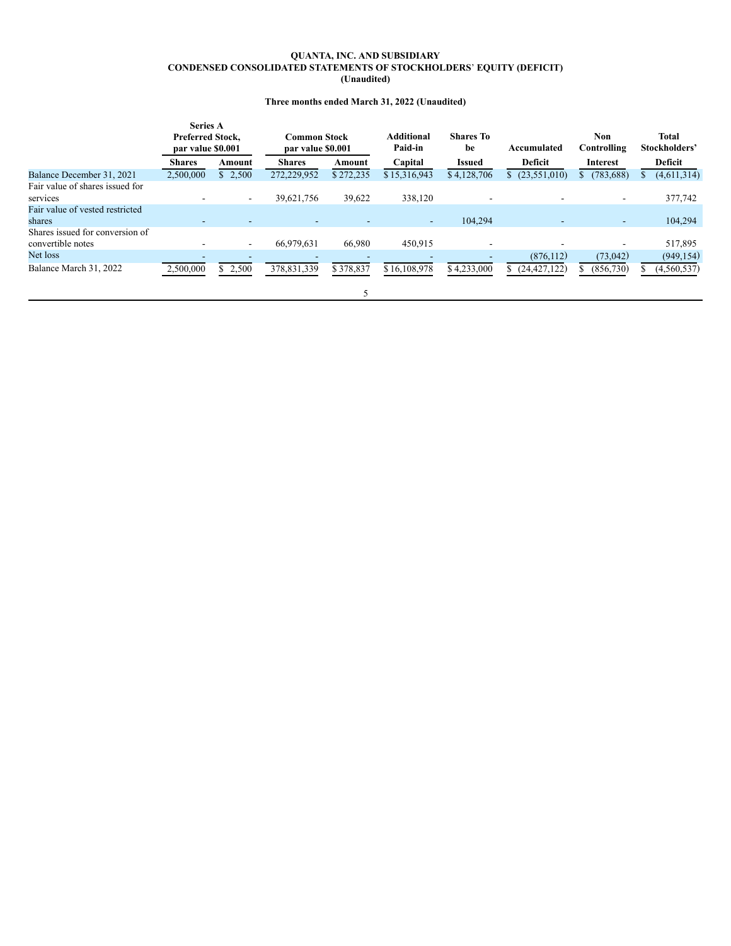#### **QUANTA, INC. AND SUBSIDIARY CONDENSED CONSOLIDATED STATEMENTS OF STOCKHOLDERS**' **EQUITY (DEFICIT) (Unaudited)**

## **Three months ended March 31, 2022 (Unaudited)**

<span id="page-4-0"></span>

|                                 | <b>Series A</b><br>Preferred Stock,<br>par value \$0.001 |                          | <b>Common Stock</b><br>par value \$0.001 |           | <b>Additional</b><br>Paid-in | <b>Shares To</b><br>be   | Accumulated          | <b>Non</b><br>Controlling | <b>Total</b><br>Stockholders' |
|---------------------------------|----------------------------------------------------------|--------------------------|------------------------------------------|-----------|------------------------------|--------------------------|----------------------|---------------------------|-------------------------------|
|                                 | <b>Shares</b>                                            | Amount                   | <b>Shares</b>                            | Amount    | Capital                      | <b>Issued</b>            | Deficit              | Interest                  | Deficit                       |
| Balance December 31, 2021       | 2,500,000                                                | \$2,500                  | 272,229,952                              | \$272,235 | \$15,316,943                 | \$4,128,706              | (23, 551, 010)<br>S. | (783, 688)                | (4, 611, 314)                 |
| Fair value of shares issued for |                                                          |                          |                                          |           |                              |                          |                      |                           |                               |
| services                        |                                                          | $\overline{\phantom{a}}$ | 39,621,756                               | 39,622    | 338,120                      |                          |                      | $\overline{\phantom{a}}$  | 377,742                       |
| Fair value of vested restricted |                                                          |                          |                                          |           |                              |                          |                      |                           |                               |
| shares                          | $\sim$                                                   |                          |                                          |           | $\sim$                       | 104,294                  |                      | ٠                         | 104,294                       |
| Shares issued for conversion of |                                                          |                          |                                          |           |                              |                          |                      |                           |                               |
| convertible notes               |                                                          | $\overline{\phantom{a}}$ | 66,979,631                               | 66,980    | 450,915                      | $\overline{\phantom{a}}$ |                      |                           | 517,895                       |
| Net loss                        |                                                          |                          |                                          |           |                              |                          | (876, 112)           | (73, 042)                 | (949, 154)                    |
| Balance March 31, 2022          | 2,500,000                                                | \$2,500                  | 378,831,339                              | \$378,837 | \$16,108,978                 | \$4,233,000              | (24, 427, 122)<br>S. | (856,730)                 | (4, 560, 537)                 |
|                                 |                                                          |                          |                                          |           |                              |                          |                      |                           |                               |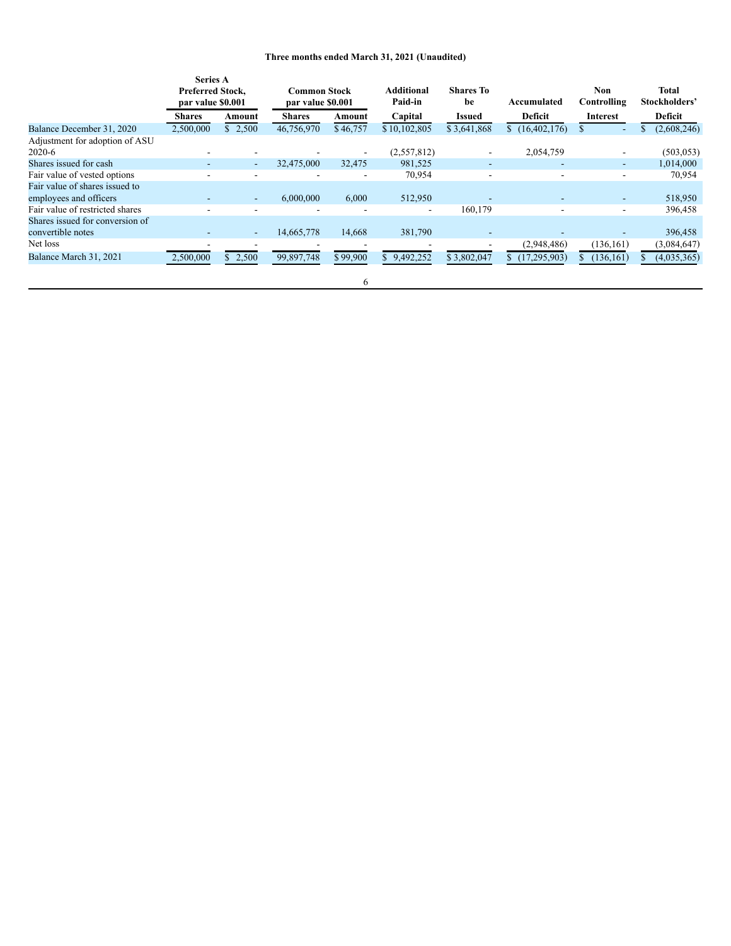## **Three months ended March 31, 2021 (Unaudited)**

|                                 | <b>Series A</b><br><b>Preferred Stock,</b><br>par value \$0.001 |         | <b>Common Stock</b><br>par value \$0.001 |          | <b>Additional</b><br>Paid-in | <b>Shares To</b><br>be | Accumulated              | Non<br>Controlling       | <b>Total</b><br>Stockholders' |
|---------------------------------|-----------------------------------------------------------------|---------|------------------------------------------|----------|------------------------------|------------------------|--------------------------|--------------------------|-------------------------------|
|                                 | <b>Shares</b>                                                   | Amount  | <b>Shares</b>                            | Amount   | Capital                      | <b>Issued</b>          | <b>Deficit</b>           | Interest                 | Deficit                       |
| Balance December 31, 2020       | 2,500,000                                                       | \$2,500 | 46,756,970                               | \$46,757 | \$10,102,805                 | \$3,641,868            | \$(16,402,176)           | \$                       | (2,608,246)                   |
| Adjustment for adoption of ASU  |                                                                 |         |                                          |          |                              |                        |                          |                          |                               |
| $2020-6$                        |                                                                 |         |                                          |          | (2,557,812)                  |                        | 2,054,759                |                          | (503, 053)                    |
| Shares issued for cash          |                                                                 | ۰.      | 32,475,000                               | 32,475   | 981,525                      | ۰                      | $\overline{\phantom{0}}$ |                          | 1,014,000                     |
| Fair value of vested options    |                                                                 |         | ۰                                        | ۰        | 70,954                       | ۰                      | ۰                        | $\blacksquare$           | 70,954                        |
| Fair value of shares issued to  |                                                                 |         |                                          |          |                              |                        |                          |                          |                               |
| employees and officers          |                                                                 |         | 6,000,000                                | 6,000    | 512,950                      |                        | $\overline{\phantom{0}}$ |                          | 518,950                       |
| Fair value of restricted shares |                                                                 |         |                                          |          | $\overline{\phantom{a}}$     | 160,179                | ۰                        | $\overline{\phantom{a}}$ | 396,458                       |
| Shares issued for conversion of |                                                                 |         |                                          |          |                              |                        |                          |                          |                               |
| convertible notes               |                                                                 | ۰.      | 14,665,778                               | 14,668   | 381,790                      |                        |                          |                          | 396,458                       |
| Net loss                        |                                                                 |         |                                          |          |                              |                        | (2,948,486)              | (136,161)                | (3,084,647)                   |
| Balance March 31, 2021          | 2,500,000                                                       | \$2,500 | 99,897,748                               | \$99,900 | 9,492,252<br>\$.             | \$3,802,047            | (17, 295, 903)<br>S.     | (136, 161)               | (4,035,365)                   |
|                                 |                                                                 |         |                                          | 6        |                              |                        |                          |                          |                               |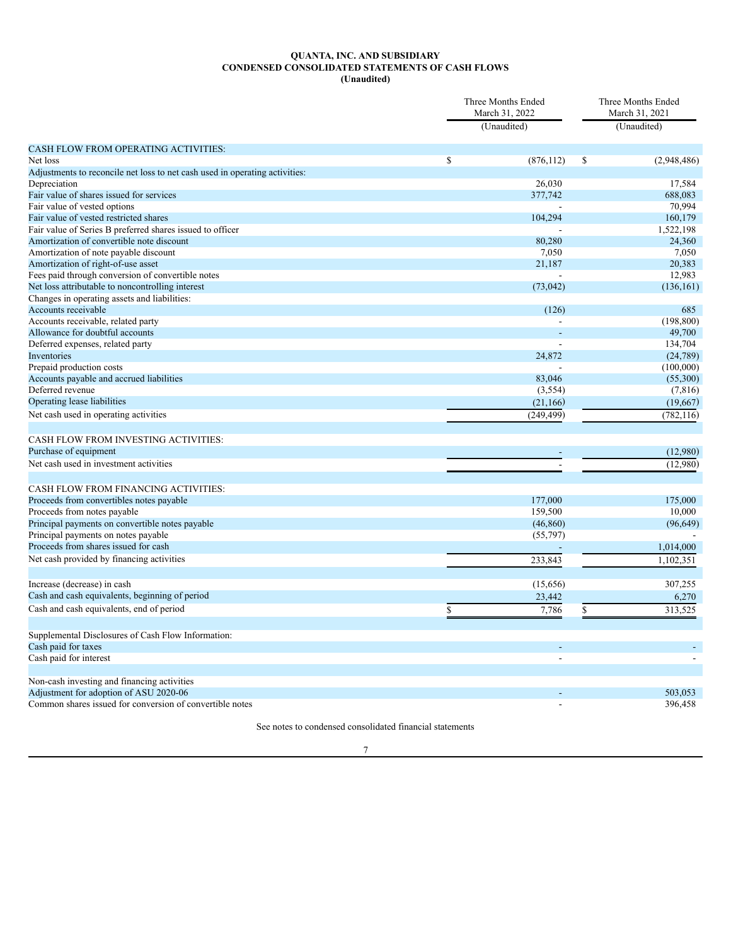#### **QUANTA, INC. AND SUBSIDIARY CONDENSED CONSOLIDATED STATEMENTS OF CASH FLOWS (Unaudited)**

<span id="page-6-0"></span>

|                                                                             | Three Months Ended<br>March 31, 2022 |                    |    | Three Months Ended<br>March 31, 2021 |  |
|-----------------------------------------------------------------------------|--------------------------------------|--------------------|----|--------------------------------------|--|
|                                                                             |                                      | (Unaudited)        |    | (Unaudited)                          |  |
| CASH FLOW FROM OPERATING ACTIVITIES:                                        |                                      |                    |    |                                      |  |
| Net loss                                                                    | \$                                   | (876, 112)         | \$ | (2,948,486)                          |  |
| Adjustments to reconcile net loss to net cash used in operating activities: |                                      |                    |    |                                      |  |
| Depreciation                                                                |                                      | 26,030             |    | 17,584                               |  |
| Fair value of shares issued for services                                    |                                      | 377,742            |    | 688,083                              |  |
| Fair value of vested options                                                |                                      |                    |    | 70,994                               |  |
| Fair value of vested restricted shares                                      |                                      | 104,294            |    | 160,179                              |  |
| Fair value of Series B preferred shares issued to officer                   |                                      |                    |    | 1,522,198                            |  |
| Amortization of convertible note discount                                   |                                      | 80,280             |    | 24,360                               |  |
| Amortization of note payable discount                                       |                                      | 7.050              |    | 7.050                                |  |
| Amortization of right-of-use asset                                          |                                      | 21,187             |    | 20,383                               |  |
| Fees paid through conversion of convertible notes                           |                                      |                    |    | 12,983                               |  |
| Net loss attributable to noncontrolling interest                            |                                      | (73, 042)          |    | (136, 161)                           |  |
| Changes in operating assets and liabilities:                                |                                      |                    |    |                                      |  |
| Accounts receivable                                                         |                                      | (126)              |    | 685                                  |  |
| Accounts receivable, related party                                          |                                      |                    |    | (198.800)                            |  |
| Allowance for doubtful accounts                                             |                                      |                    |    | 49,700                               |  |
| Deferred expenses, related party                                            |                                      |                    |    | 134,704                              |  |
| Inventories                                                                 |                                      | 24,872             |    | (24, 789)<br>(100,000)               |  |
| Prepaid production costs<br>Accounts payable and accrued liabilities        |                                      | 83,046             |    | (55,300)                             |  |
| Deferred revenue                                                            |                                      | (3, 554)           |    | (7, 816)                             |  |
| Operating lease liabilities                                                 |                                      | (21, 166)          |    | (19,667)                             |  |
| Net cash used in operating activities                                       |                                      | (249, 499)         |    |                                      |  |
|                                                                             |                                      |                    |    | (782, 116)                           |  |
| CASH FLOW FROM INVESTING ACTIVITIES:                                        |                                      |                    |    |                                      |  |
| Purchase of equipment                                                       |                                      | ÷.                 |    | (12,980)                             |  |
| Net cash used in investment activities                                      |                                      |                    |    | (12,980)                             |  |
|                                                                             |                                      |                    |    |                                      |  |
| <b>CASH FLOW FROM FINANCING ACTIVITIES:</b>                                 |                                      |                    |    |                                      |  |
| Proceeds from convertibles notes payable<br>Proceeds from notes payable     |                                      | 177,000<br>159,500 |    | 175,000<br>10,000                    |  |
| Principal payments on convertible notes payable                             |                                      | (46, 860)          |    | (96, 649)                            |  |
| Principal payments on notes payable                                         |                                      | (55, 797)          |    |                                      |  |
| Proceeds from shares issued for cash                                        |                                      |                    |    | 1,014,000                            |  |
|                                                                             |                                      |                    |    | 1,102,351                            |  |
| Net cash provided by financing activities                                   |                                      | 233,843            |    |                                      |  |
| Increase (decrease) in cash                                                 |                                      | (15,656)           |    | 307,255                              |  |
| Cash and cash equivalents, beginning of period                              |                                      | 23,442             |    | 6,270                                |  |
| Cash and cash equivalents, end of period                                    | \$                                   | 7,786              | \$ | 313,525                              |  |
|                                                                             |                                      |                    |    |                                      |  |
| Supplemental Disclosures of Cash Flow Information:<br>Cash paid for taxes   |                                      |                    |    |                                      |  |
| Cash paid for interest                                                      |                                      |                    |    |                                      |  |
|                                                                             |                                      |                    |    |                                      |  |
| Non-cash investing and financing activities                                 |                                      |                    |    |                                      |  |
| Adjustment for adoption of ASU 2020-06                                      |                                      |                    |    | 503.053                              |  |
| Common shares issued for conversion of convertible notes                    |                                      | $\overline{a}$     |    | 396,458                              |  |
|                                                                             |                                      |                    |    |                                      |  |

See notes to condensed consolidated financial statements

7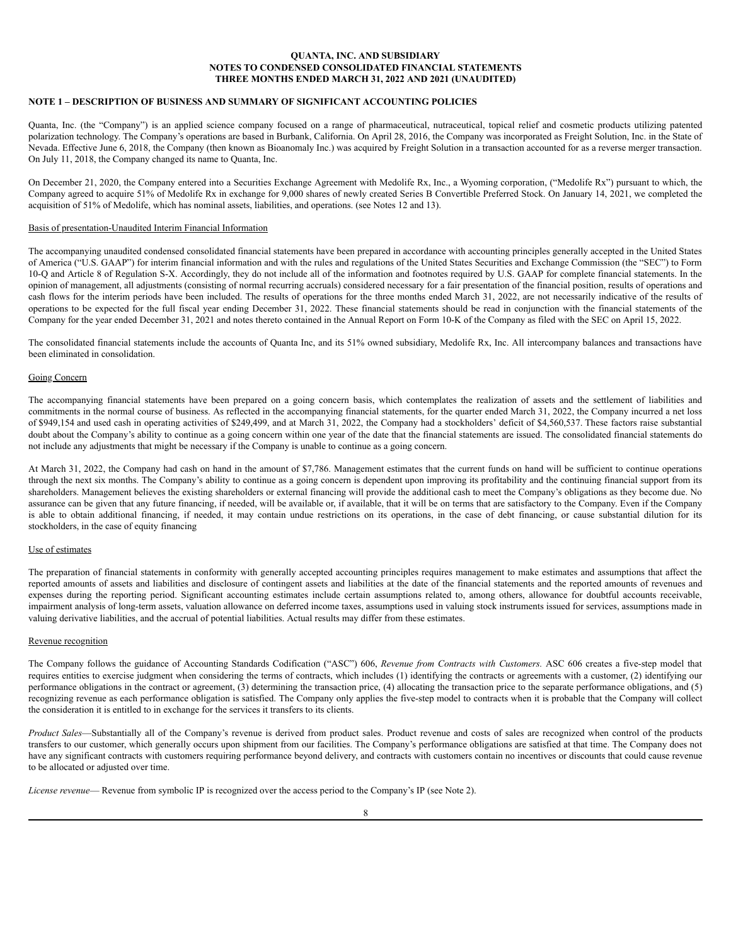## **QUANTA, INC. AND SUBSIDIARY NOTES TO CONDENSED CONSOLIDATED FINANCIAL STATEMENTS THREE MONTHS ENDED MARCH 31, 2022 AND 2021 (UNAUDITED)**

#### <span id="page-7-0"></span>**NOTE 1 – DESCRIPTION OF BUSINESS AND SUMMARY OF SIGNIFICANT ACCOUNTING POLICIES**

Quanta, Inc. (the "Company") is an applied science company focused on a range of pharmaceutical, nutraceutical, topical relief and cosmetic products utilizing patented polarization technology. The Company's operations are based in Burbank, California. On April 28, 2016, the Company was incorporated as Freight Solution, Inc. in the State of Nevada. Effective June 6, 2018, the Company (then known as Bioanomaly Inc.) was acquired by Freight Solution in a transaction accounted for as a reverse merger transaction. On July 11, 2018, the Company changed its name to Quanta, Inc.

On December 21, 2020, the Company entered into a Securities Exchange Agreement with Medolife Rx, Inc., a Wyoming corporation, ("Medolife Rx") pursuant to which, the Company agreed to acquire 51% of Medolife Rx in exchange for 9,000 shares of newly created Series B Convertible Preferred Stock. On January 14, 2021, we completed the acquisition of 51% of Medolife, which has nominal assets, liabilities, and operations. (see Notes 12 and 13).

#### Basis of presentation-Unaudited Interim Financial Information

The accompanying unaudited condensed consolidated financial statements have been prepared in accordance with accounting principles generally accepted in the United States of America ("U.S. GAAP") for interim financial information and with the rules and regulations of the United States Securities and Exchange Commission (the "SEC") to Form 10-Q and Article 8 of Regulation S-X. Accordingly, they do not include all of the information and footnotes required by U.S. GAAP for complete financial statements. In the opinion of management, all adjustments (consisting of normal recurring accruals) considered necessary for a fair presentation of the financial position, results of operations and cash flows for the interim periods have been included. The results of operations for the three months ended March 31, 2022, are not necessarily indicative of the results of operations to be expected for the full fiscal year ending December 31, 2022. These financial statements should be read in conjunction with the financial statements of the Company for the year ended December 31, 2021 and notes thereto contained in the Annual Report on Form 10-K of the Company as filed with the SEC on April 15, 2022.

The consolidated financial statements include the accounts of Quanta Inc, and its 51% owned subsidiary, Medolife Rx, Inc. All intercompany balances and transactions have been eliminated in consolidation.

#### Going Concern

The accompanying financial statements have been prepared on a going concern basis, which contemplates the realization of assets and the settlement of liabilities and commitments in the normal course of business. As reflected in the accompanying financial statements, for the quarter ended March 31, 2022, the Company incurred a net loss of \$949,154 and used cash in operating activities of \$249,499, and at March 31, 2022, the Company had a stockholders' deficit of \$4,560,537. These factors raise substantial doubt about the Company's ability to continue as a going concern within one year of the date that the financial statements are issued. The consolidated financial statements do not include any adjustments that might be necessary if the Company is unable to continue as a going concern.

At March 31, 2022, the Company had cash on hand in the amount of \$7,786. Management estimates that the current funds on hand will be sufficient to continue operations through the next six months. The Company's ability to continue as a going concern is dependent upon improving its profitability and the continuing financial support from its shareholders. Management believes the existing shareholders or external financing will provide the additional cash to meet the Company's obligations as they become due. No assurance can be given that any future financing, if needed, will be available or, if available, that it will be on terms that are satisfactory to the Company. Even if the Company is able to obtain additional financing, if needed, it may contain undue restrictions on its operations, in the case of debt financing, or cause substantial dilution for its stockholders, in the case of equity financing

#### Use of estimates

The preparation of financial statements in conformity with generally accepted accounting principles requires management to make estimates and assumptions that affect the reported amounts of assets and liabilities and disclosure of contingent assets and liabilities at the date of the financial statements and the reported amounts of revenues and expenses during the reporting period. Significant accounting estimates include certain assumptions related to, among others, allowance for doubtful accounts receivable, impairment analysis of long-term assets, valuation allowance on deferred income taxes, assumptions used in valuing stock instruments issued for services, assumptions made in valuing derivative liabilities, and the accrual of potential liabilities. Actual results may differ from these estimates.

#### Revenue recognition

The Company follows the guidance of Accounting Standards Codification ("ASC") 606, *Revenue from Contracts with Customers.* ASC 606 creates a five-step model that requires entities to exercise judgment when considering the terms of contracts, which includes (1) identifying the contracts or agreements with a customer, (2) identifying our performance obligations in the contract or agreement, (3) determining the transaction price, (4) allocating the transaction price to the separate performance obligations, and (5) recognizing revenue as each performance obligation is satisfied. The Company only applies the five-step model to contracts when it is probable that the Company will collect the consideration it is entitled to in exchange for the services it transfers to its clients.

*Product Sales*—Substantially all of the Company's revenue is derived from product sales. Product revenue and costs of sales are recognized when control of the products transfers to our customer, which generally occurs upon shipment from our facilities. The Company's performance obligations are satisfied at that time. The Company does not have any significant contracts with customers requiring performance beyond delivery, and contracts with customers contain no incentives or discounts that could cause revenue to be allocated or adjusted over time.

*License revenue*— Revenue from symbolic IP is recognized over the access period to the Company's IP (see Note 2).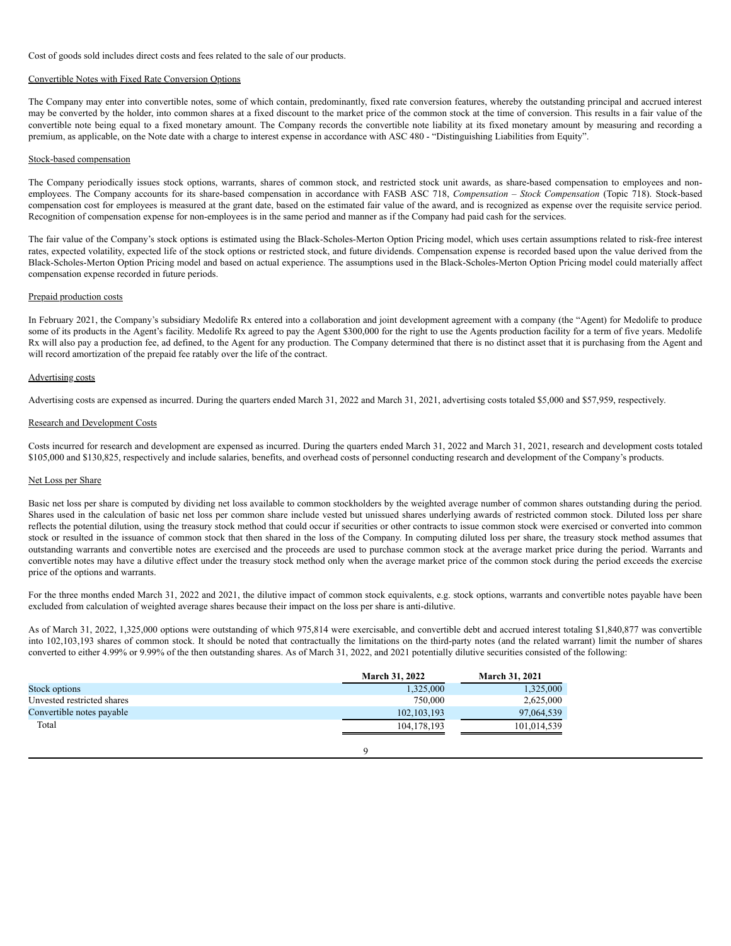Cost of goods sold includes direct costs and fees related to the sale of our products.

#### Convertible Notes with Fixed Rate Conversion Options

The Company may enter into convertible notes, some of which contain, predominantly, fixed rate conversion features, whereby the outstanding principal and accrued interest may be converted by the holder, into common shares at a fixed discount to the market price of the common stock at the time of conversion. This results in a fair value of the convertible note being equal to a fixed monetary amount. The Company records the convertible note liability at its fixed monetary amount by measuring and recording a premium, as applicable, on the Note date with a charge to interest expense in accordance with ASC 480 - "Distinguishing Liabilities from Equity".

#### Stock-based compensation

The Company periodically issues stock options, warrants, shares of common stock, and restricted stock unit awards, as share-based compensation to employees and nonemployees. The Company accounts for its share-based compensation in accordance with FASB ASC 718, *Compensation – Stock Compensation* (Topic 718). Stock-based compensation cost for employees is measured at the grant date, based on the estimated fair value of the award, and is recognized as expense over the requisite service period. Recognition of compensation expense for non-employees is in the same period and manner as if the Company had paid cash for the services.

The fair value of the Company's stock options is estimated using the Black-Scholes-Merton Option Pricing model, which uses certain assumptions related to risk-free interest rates, expected volatility, expected life of the stock options or restricted stock, and future dividends. Compensation expense is recorded based upon the value derived from the Black-Scholes-Merton Option Pricing model and based on actual experience. The assumptions used in the Black-Scholes-Merton Option Pricing model could materially affect compensation expense recorded in future periods.

#### Prepaid production costs

In February 2021, the Company's subsidiary Medolife Rx entered into a collaboration and joint development agreement with a company (the "Agent) for Medolife to produce some of its products in the Agent's facility. Medolife Rx agreed to pay the Agent \$300,000 for the right to use the Agents production facility for a term of five years. Medolife Rx will also pay a production fee, ad defined, to the Agent for any production. The Company determined that there is no distinct asset that it is purchasing from the Agent and will record amortization of the prepaid fee ratably over the life of the contract.

#### Advertising costs

Advertising costs are expensed as incurred. During the quarters ended March 31, 2022 and March 31, 2021, advertising costs totaled \$5,000 and \$57,959, respectively.

#### Research and Development Costs

Costs incurred for research and development are expensed as incurred. During the quarters ended March 31, 2022 and March 31, 2021, research and development costs totaled \$105,000 and \$130,825, respectively and include salaries, benefits, and overhead costs of personnel conducting research and development of the Company's products.

#### Net Loss per Share

Basic net loss per share is computed by dividing net loss available to common stockholders by the weighted average number of common shares outstanding during the period. Shares used in the calculation of basic net loss per common share include vested but unissued shares underlying awards of restricted common stock. Diluted loss per share reflects the potential dilution, using the treasury stock method that could occur if securities or other contracts to issue common stock were exercised or converted into common stock or resulted in the issuance of common stock that then shared in the loss of the Company. In computing diluted loss per share, the treasury stock method assumes that outstanding warrants and convertible notes are exercised and the proceeds are used to purchase common stock at the average market price during the period. Warrants and convertible notes may have a dilutive effect under the treasury stock method only when the average market price of the common stock during the period exceeds the exercise price of the options and warrants.

For the three months ended March 31, 2022 and 2021, the dilutive impact of common stock equivalents, e.g. stock options, warrants and convertible notes payable have been excluded from calculation of weighted average shares because their impact on the loss per share is anti-dilutive.

As of March 31, 2022, 1,325,000 options were outstanding of which 975,814 were exercisable, and convertible debt and accrued interest totaling \$1,840,877 was convertible into 102,103,193 shares of common stock. It should be noted that contractually the limitations on the third-party notes (and the related warrant) limit the number of shares converted to either 4.99% or 9.99% of the then outstanding shares. As of March 31, 2022, and 2021 potentially dilutive securities consisted of the following:

|                            | <b>March 31, 2022</b> | <b>March 31, 2021</b> |
|----------------------------|-----------------------|-----------------------|
| Stock options              | 1,325,000             | 1,325,000             |
| Unvested restricted shares | 750,000               | 2,625,000             |
| Convertible notes payable  | 102, 103, 193         | 97.064.539            |
| Total                      | 104.178.193           | 101.014.539           |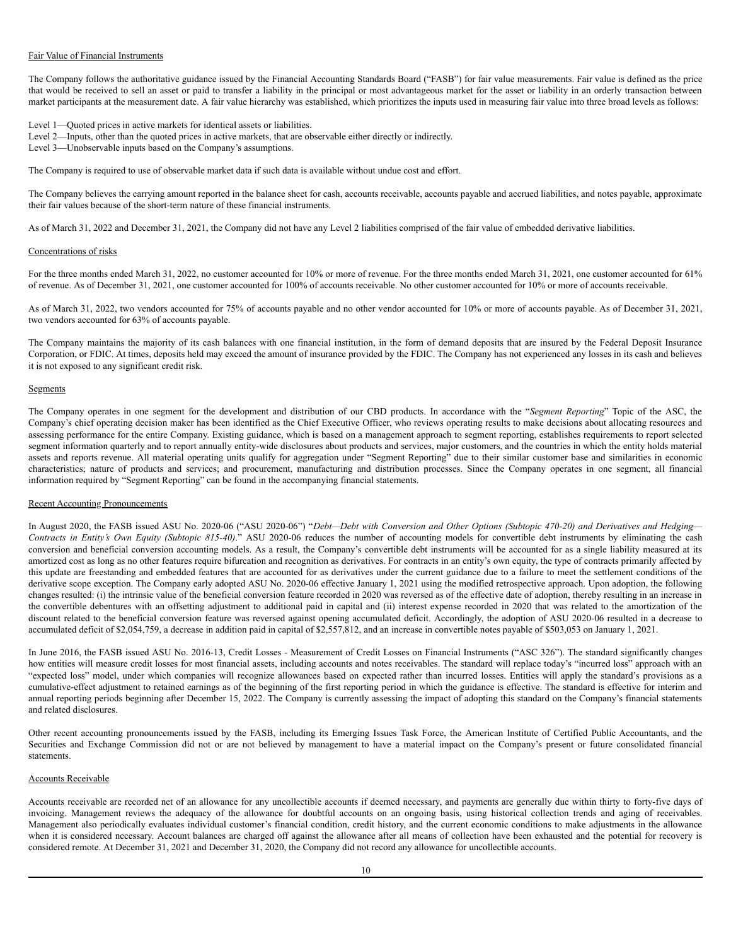#### Fair Value of Financial Instruments

The Company follows the authoritative guidance issued by the Financial Accounting Standards Board ("FASB") for fair value measurements. Fair value is defined as the price that would be received to sell an asset or paid to transfer a liability in the principal or most advantageous market for the asset or liability in an orderly transaction between market participants at the measurement date. A fair value hierarchy was established, which prioritizes the inputs used in measuring fair value into three broad levels as follows:

Level 1—Quoted prices in active markets for identical assets or liabilities.

- Level 2—Inputs, other than the quoted prices in active markets, that are observable either directly or indirectly.
- Level 3—Unobservable inputs based on the Company's assumptions.

The Company is required to use of observable market data if such data is available without undue cost and effort.

The Company believes the carrying amount reported in the balance sheet for cash, accounts receivable, accounts payable and accrued liabilities, and notes payable, approximate their fair values because of the short-term nature of these financial instruments.

As of March 31, 2022 and December 31, 2021, the Company did not have any Level 2 liabilities comprised of the fair value of embedded derivative liabilities.

#### Concentrations of risks

For the three months ended March 31, 2022, no customer accounted for 10% or more of revenue. For the three months ended March 31, 2021, one customer accounted for 61% of revenue. As of December 31, 2021, one customer accounted for 100% of accounts receivable. No other customer accounted for 10% or more of accounts receivable.

As of March 31, 2022, two vendors accounted for 75% of accounts payable and no other vendor accounted for 10% or more of accounts payable. As of December 31, 2021, two vendors accounted for 63% of accounts payable.

The Company maintains the majority of its cash balances with one financial institution, in the form of demand deposits that are insured by the Federal Deposit Insurance Corporation, or FDIC. At times, deposits held may exceed the amount of insurance provided by the FDIC. The Company has not experienced any losses in its cash and believes it is not exposed to any significant credit risk.

#### **Segments**

The Company operates in one segment for the development and distribution of our CBD products. In accordance with the "*Segment Reporting*" Topic of the ASC, the Company's chief operating decision maker has been identified as the Chief Executive Officer, who reviews operating results to make decisions about allocating resources and assessing performance for the entire Company. Existing guidance, which is based on a management approach to segment reporting, establishes requirements to report selected segment information quarterly and to report annually entity-wide disclosures about products and services, major customers, and the countries in which the entity holds material assets and reports revenue. All material operating units qualify for aggregation under "Segment Reporting" due to their similar customer base and similarities in economic characteristics; nature of products and services; and procurement, manufacturing and distribution processes. Since the Company operates in one segment, all financial information required by "Segment Reporting" can be found in the accompanying financial statements.

#### Recent Accounting Pronouncements

In August 2020, the FASB issued ASU No. 2020-06 ("ASU 2020-06") "Debt-Debt with Conversion and Other Options (Subtopic 470-20) and Derivatives and Hedging-*Contracts in Entity's Own Equity (Subtopic 815-40)*." ASU 2020-06 reduces the number of accounting models for convertible debt instruments by eliminating the cash conversion and beneficial conversion accounting models. As a result, the Company's convertible debt instruments will be accounted for as a single liability measured at its amortized cost as long as no other features require bifurcation and recognition as derivatives. For contracts in an entity's own equity, the type of contracts primarily affected by this update are freestanding and embedded features that are accounted for as derivatives under the current guidance due to a failure to meet the settlement conditions of the derivative scope exception. The Company early adopted ASU No. 2020-06 effective January 1, 2021 using the modified retrospective approach. Upon adoption, the following changes resulted: (i) the intrinsic value of the beneficial conversion feature recorded in 2020 was reversed as of the effective date of adoption, thereby resulting in an increase in the convertible debentures with an offsetting adjustment to additional paid in capital and (ii) interest expense recorded in 2020 that was related to the amortization of the discount related to the beneficial conversion feature was reversed against opening accumulated deficit. Accordingly, the adoption of ASU 2020-06 resulted in a decrease to accumulated deficit of \$2,054,759, a decrease in addition paid in capital of \$2,557,812, and an increase in convertible notes payable of \$503,053 on January 1, 2021.

In June 2016, the FASB issued ASU No. 2016-13, Credit Losses - Measurement of Credit Losses on Financial Instruments ("ASC 326"). The standard significantly changes how entities will measure credit losses for most financial assets, including accounts and notes receivables. The standard will replace today's "incurred loss" approach with an "expected loss" model, under which companies will recognize allowances based on expected rather than incurred losses. Entities will apply the standard's provisions as a cumulative-effect adjustment to retained earnings as of the beginning of the first reporting period in which the guidance is effective. The standard is effective for interim and annual reporting periods beginning after December 15, 2022. The Company is currently assessing the impact of adopting this standard on the Company's financial statements and related disclosures.

Other recent accounting pronouncements issued by the FASB, including its Emerging Issues Task Force, the American Institute of Certified Public Accountants, and the Securities and Exchange Commission did not or are not believed by management to have a material impact on the Company's present or future consolidated financial statements.

#### Accounts Receivable

Accounts receivable are recorded net of an allowance for any uncollectible accounts if deemed necessary, and payments are generally due within thirty to forty-five days of invoicing. Management reviews the adequacy of the allowance for doubtful accounts on an ongoing basis, using historical collection trends and aging of receivables. Management also periodically evaluates individual customer's financial condition, credit history, and the current economic conditions to make adjustments in the allowance when it is considered necessary. Account balances are charged off against the allowance after all means of collection have been exhausted and the potential for recovery is considered remote. At December 31, 2021 and December 31, 2020, the Company did not record any allowance for uncollectible accounts.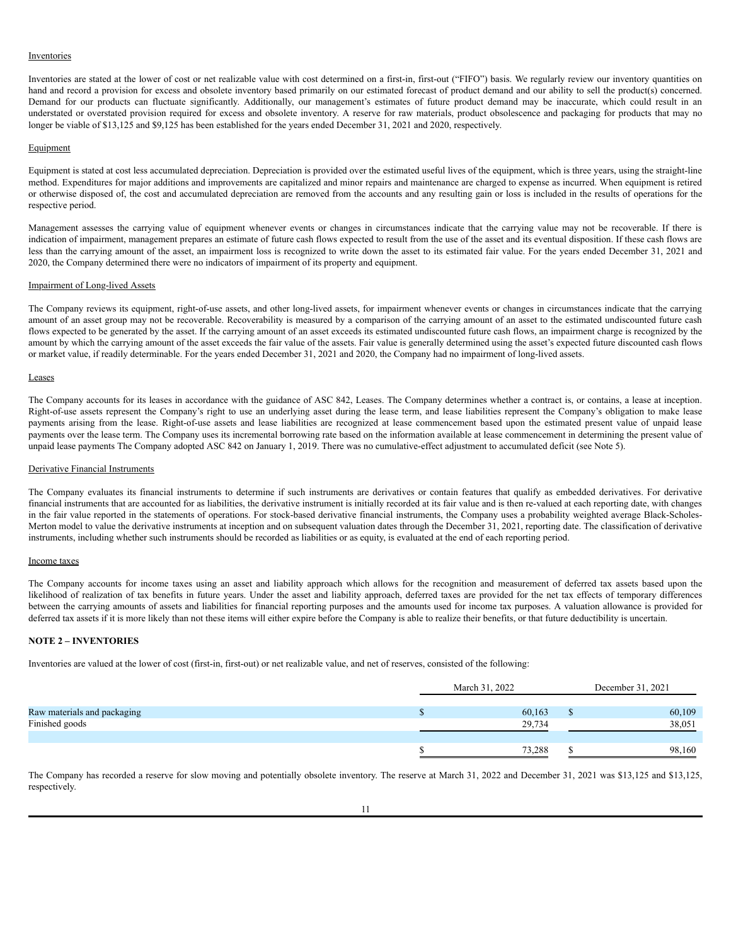#### Inventories

Inventories are stated at the lower of cost or net realizable value with cost determined on a first-in, first-out ("FIFO") basis. We regularly review our inventory quantities on hand and record a provision for excess and obsolete inventory based primarily on our estimated forecast of product demand and our ability to sell the product(s) concerned. Demand for our products can fluctuate significantly. Additionally, our management's estimates of future product demand may be inaccurate, which could result in an understated or overstated provision required for excess and obsolete inventory. A reserve for raw materials, product obsolescence and packaging for products that may no longer be viable of \$13,125 and \$9,125 has been established for the years ended December 31, 2021 and 2020, respectively.

#### **Equipment**

Equipment is stated at cost less accumulated depreciation. Depreciation is provided over the estimated useful lives of the equipment, which is three years, using the straight-line method. Expenditures for major additions and improvements are capitalized and minor repairs and maintenance are charged to expense as incurred. When equipment is retired or otherwise disposed of, the cost and accumulated depreciation are removed from the accounts and any resulting gain or loss is included in the results of operations for the respective period.

Management assesses the carrying value of equipment whenever events or changes in circumstances indicate that the carrying value may not be recoverable. If there is indication of impairment, management prepares an estimate of future cash flows expected to result from the use of the asset and its eventual disposition. If these cash flows are less than the carrying amount of the asset, an impairment loss is recognized to write down the asset to its estimated fair value. For the years ended December 31, 2021 and 2020, the Company determined there were no indicators of impairment of its property and equipment.

#### Impairment of Long-lived Assets

The Company reviews its equipment, right-of-use assets, and other long-lived assets, for impairment whenever events or changes in circumstances indicate that the carrying amount of an asset group may not be recoverable. Recoverability is measured by a comparison of the carrying amount of an asset to the estimated undiscounted future cash flows expected to be generated by the asset. If the carrying amount of an asset exceeds its estimated undiscounted future cash flows, an impairment charge is recognized by the amount by which the carrying amount of the asset exceeds the fair value of the assets. Fair value is generally determined using the asset's expected future discounted cash flows or market value, if readily determinable. For the years ended December 31, 2021 and 2020, the Company had no impairment of long-lived assets.

#### Leases

The Company accounts for its leases in accordance with the guidance of ASC 842, Leases. The Company determines whether a contract is, or contains, a lease at inception. Right-of-use assets represent the Company's right to use an underlying asset during the lease term, and lease liabilities represent the Company's obligation to make lease payments arising from the lease. Right-of-use assets and lease liabilities are recognized at lease commencement based upon the estimated present value of unpaid lease payments over the lease term. The Company uses its incremental borrowing rate based on the information available at lease commencement in determining the present value of unpaid lease payments The Company adopted ASC 842 on January 1, 2019. There was no cumulative-effect adjustment to accumulated deficit (see Note 5).

#### Derivative Financial Instruments

The Company evaluates its financial instruments to determine if such instruments are derivatives or contain features that qualify as embedded derivatives. For derivative financial instruments that are accounted for as liabilities, the derivative instrument is initially recorded at its fair value and is then re-valued at each reporting date, with changes in the fair value reported in the statements of operations. For stock-based derivative financial instruments, the Company uses a probability weighted average Black-Scholes-Merton model to value the derivative instruments at inception and on subsequent valuation dates through the December 31, 2021, reporting date. The classification of derivative instruments, including whether such instruments should be recorded as liabilities or as equity, is evaluated at the end of each reporting period.

#### Income taxes

The Company accounts for income taxes using an asset and liability approach which allows for the recognition and measurement of deferred tax assets based upon the likelihood of realization of tax benefits in future years. Under the asset and liability approach, deferred taxes are provided for the net tax effects of temporary differences between the carrying amounts of assets and liabilities for financial reporting purposes and the amounts used for income tax purposes. A valuation allowance is provided for deferred tax assets if it is more likely than not these items will either expire before the Company is able to realize their benefits, or that future deductibility is uncertain.

#### **NOTE 2 – INVENTORIES**

Inventories are valued at the lower of cost (first-in, first-out) or net realizable value, and net of reserves, consisted of the following:

|                             | March 31, 2022 | December 31, 2021 |        |  |
|-----------------------------|----------------|-------------------|--------|--|
|                             |                |                   |        |  |
| Raw materials and packaging | 60,163         |                   | 60,109 |  |
| Finished goods              | 29,734         |                   | 38,051 |  |
|                             |                |                   |        |  |
|                             | 73,288         |                   | 98,160 |  |

The Company has recorded a reserve for slow moving and potentially obsolete inventory. The reserve at March 31, 2022 and December 31, 2021 was \$13,125 and \$13,125, respectively.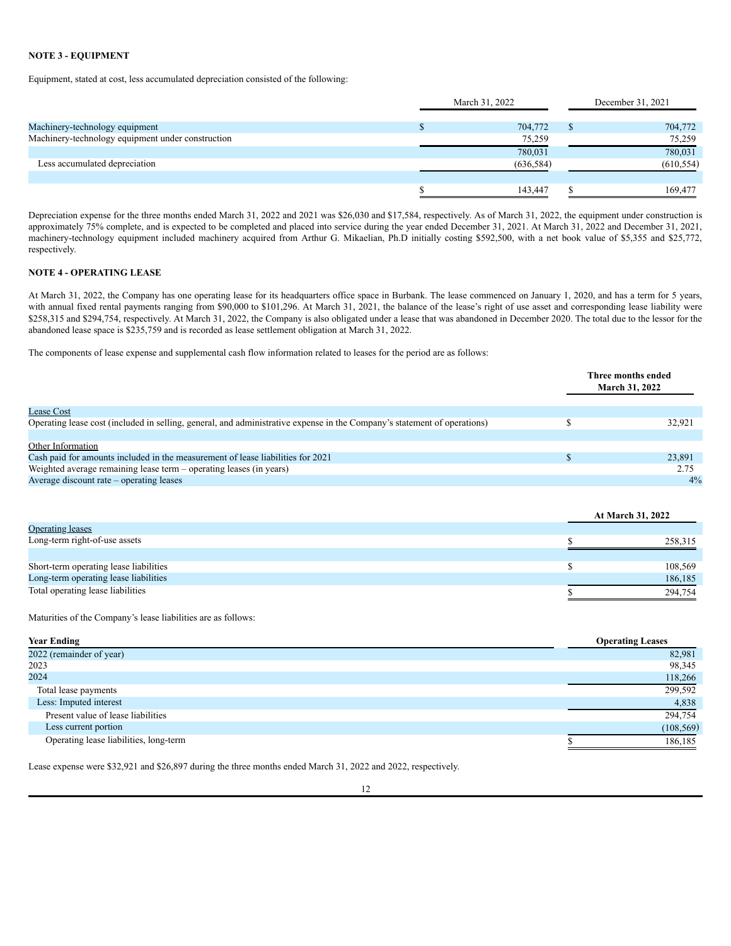## **NOTE 3 - EQUIPMENT**

Equipment, stated at cost, less accumulated depreciation consisted of the following:

|                                                   | March 31, 2022 |  | December 31, 2021 |
|---------------------------------------------------|----------------|--|-------------------|
| Machinery-technology equipment                    | 704,772        |  | 704,772           |
| Machinery-technology equipment under construction | 75,259         |  | 75,259            |
|                                                   | 780,031        |  | 780,031           |
| Less accumulated depreciation                     | (636, 584)     |  | (610, 554)        |
|                                                   |                |  |                   |
|                                                   | 143.447        |  | 169.477           |

Depreciation expense for the three months ended March 31, 2022 and 2021 was \$26,030 and \$17,584, respectively. As of March 31, 2022, the equipment under construction is approximately 75% complete, and is expected to be completed and placed into service during the year ended December 31, 2021. At March 31, 2022 and December 31, 2021, machinery-technology equipment included machinery acquired from Arthur G. Mikaelian, Ph.D initially costing \$592,500, with a net book value of \$5,355 and \$25,772, respectively.

## **NOTE 4 - OPERATING LEASE**

At March 31, 2022, the Company has one operating lease for its headquarters office space in Burbank. The lease commenced on January 1, 2020, and has a term for 5 years, with annual fixed rental payments ranging from \$90,000 to \$101,296. At March 31, 2021, the balance of the lease's right of use asset and corresponding lease liability were \$258,315 and \$294,754, respectively. At March 31, 2022, the Company is also obligated under a lease that was abandoned in December 2020. The total due to the lessor for the abandoned lease space is \$235,759 and is recorded as lease settlement obligation at March 31, 2022.

The components of lease expense and supplemental cash flow information related to leases for the period are as follows:

|                                                                                                                          | Three months ended<br><b>March 31, 2022</b> |
|--------------------------------------------------------------------------------------------------------------------------|---------------------------------------------|
| <b>Lease Cost</b>                                                                                                        |                                             |
| Operating lease cost (included in selling, general, and administrative expense in the Company's statement of operations) | 32.921                                      |
|                                                                                                                          |                                             |
| Other Information                                                                                                        |                                             |
| Cash paid for amounts included in the measurement of lease liabilities for 2021                                          | 23,891                                      |
| Weighted average remaining lease term - operating leases (in years)                                                      | 2.75                                        |
| Average discount rate – operating leases                                                                                 | 4%                                          |

|                                        |  | At March 31, 2022 |
|----------------------------------------|--|-------------------|
| <b>Operating leases</b>                |  |                   |
| Long-term right-of-use assets          |  | 258,315           |
|                                        |  |                   |
| Short-term operating lease liabilities |  | 108.569           |
| Long-term operating lease liabilities  |  | 186,185           |
| Total operating lease liabilities      |  | 294,754           |

Maturities of the Company's lease liabilities are as follows:

| <b>Year Ending</b>                     | <b>Operating Leases</b> |
|----------------------------------------|-------------------------|
| 2022 (remainder of year)               | 82,981                  |
| 2023                                   | 98,345                  |
| 2024                                   | 118,266                 |
| Total lease payments                   | 299,592                 |
| Less: Imputed interest                 | 4,838                   |
| Present value of lease liabilities     | 294,754                 |
| Less current portion                   | (108, 569)              |
| Operating lease liabilities, long-term | 186,185                 |

Lease expense were \$32,921 and \$26,897 during the three months ended March 31, 2022 and 2022, respectively.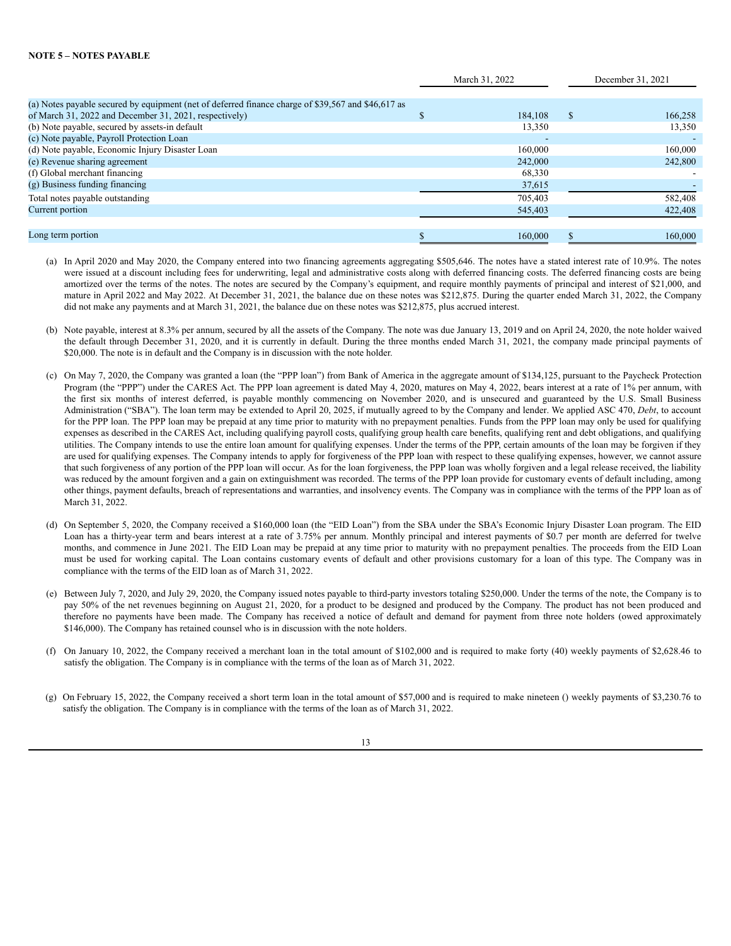|                                                                                                    | March 31, 2022 |         | December 31, 2021 |         |
|----------------------------------------------------------------------------------------------------|----------------|---------|-------------------|---------|
|                                                                                                    |                |         |                   |         |
| (a) Notes payable secured by equipment (net of deferred finance charge of \$39,567 and \$46,617 as |                |         |                   |         |
| of March 31, 2022 and December 31, 2021, respectively)                                             |                | 184.108 | <sup>\$</sup>     | 166,258 |
| (b) Note payable, secured by assets-in default                                                     |                | 13,350  |                   | 13,350  |
| (c) Note payable, Payroll Protection Loan                                                          |                |         |                   |         |
| (d) Note payable, Economic Injury Disaster Loan                                                    |                | 160,000 |                   | 160,000 |
| (e) Revenue sharing agreement                                                                      |                | 242,000 |                   | 242,800 |
| (f) Global merchant financing                                                                      |                | 68,330  |                   |         |
| (g) Business funding financing                                                                     |                | 37,615  |                   |         |
| Total notes payable outstanding                                                                    |                | 705,403 |                   | 582,408 |
| Current portion                                                                                    |                | 545,403 |                   | 422,408 |
|                                                                                                    |                |         |                   |         |
| Long term portion                                                                                  |                | 160,000 |                   | 160,000 |
|                                                                                                    |                |         |                   |         |

- (a) In April 2020 and May 2020, the Company entered into two financing agreements aggregating \$505,646. The notes have a stated interest rate of 10.9%. The notes were issued at a discount including fees for underwriting, legal and administrative costs along with deferred financing costs. The deferred financing costs are being amortized over the terms of the notes. The notes are secured by the Company's equipment, and require monthly payments of principal and interest of \$21,000, and mature in April 2022 and May 2022. At December 31, 2021, the balance due on these notes was \$212,875. During the quarter ended March 31, 2022, the Company did not make any payments and at March 31, 2021, the balance due on these notes was \$212,875, plus accrued interest.
- (b) Note payable, interest at 8.3% per annum, secured by all the assets of the Company. The note was due January 13, 2019 and on April 24, 2020, the note holder waived the default through December 31, 2020, and it is currently in default. During the three months ended March 31, 2021, the company made principal payments of \$20,000. The note is in default and the Company is in discussion with the note holder.
- (c) On May 7, 2020, the Company was granted a loan (the "PPP loan") from Bank of America in the aggregate amount of \$134,125, pursuant to the Paycheck Protection Program (the "PPP") under the CARES Act. The PPP loan agreement is dated May 4, 2020, matures on May 4, 2022, bears interest at a rate of 1% per annum, with the first six months of interest deferred, is payable monthly commencing on November 2020, and is unsecured and guaranteed by the U.S. Small Business Administration ("SBA"). The loan term may be extended to April 20, 2025, if mutually agreed to by the Company and lender. We applied ASC 470, *Debt*, to account for the PPP loan. The PPP loan may be prepaid at any time prior to maturity with no prepayment penalties. Funds from the PPP loan may only be used for qualifying expenses as described in the CARES Act, including qualifying payroll costs, qualifying group health care benefits, qualifying rent and debt obligations, and qualifying utilities. The Company intends to use the entire loan amount for qualifying expenses. Under the terms of the PPP, certain amounts of the loan may be forgiven if they are used for qualifying expenses. The Company intends to apply for forgiveness of the PPP loan with respect to these qualifying expenses, however, we cannot assure that such forgiveness of any portion of the PPP loan will occur. As for the loan forgiveness, the PPP loan was wholly forgiven and a legal release received, the liability was reduced by the amount forgiven and a gain on extinguishment was recorded. The terms of the PPP loan provide for customary events of default including, among other things, payment defaults, breach of representations and warranties, and insolvency events. The Company was in compliance with the terms of the PPP loan as of March 31, 2022.
- (d) On September 5, 2020, the Company received a \$160,000 loan (the "EID Loan") from the SBA under the SBA's Economic Injury Disaster Loan program. The EID Loan has a thirty-year term and bears interest at a rate of 3.75% per annum. Monthly principal and interest payments of \$0.7 per month are deferred for twelve months, and commence in June 2021. The EID Loan may be prepaid at any time prior to maturity with no prepayment penalties. The proceeds from the EID Loan must be used for working capital. The Loan contains customary events of default and other provisions customary for a loan of this type. The Company was in compliance with the terms of the EID loan as of March 31, 2022.
- (e) Between July 7, 2020, and July 29, 2020, the Company issued notes payable to third-party investors totaling \$250,000. Under the terms of the note, the Company is to pay 50% of the net revenues beginning on August 21, 2020, for a product to be designed and produced by the Company. The product has not been produced and therefore no payments have been made. The Company has received a notice of default and demand for payment from three note holders (owed approximately \$146,000). The Company has retained counsel who is in discussion with the note holders.
- (f) On January 10, 2022, the Company received a merchant loan in the total amount of \$102,000 and is required to make forty (40) weekly payments of \$2,628.46 to satisfy the obligation. The Company is in compliance with the terms of the loan as of March 31, 2022.
- (g) On February 15, 2022, the Company received a short term loan in the total amount of \$57,000 and is required to make nineteen () weekly payments of \$3,230.76 to satisfy the obligation. The Company is in compliance with the terms of the loan as of March 31, 2022.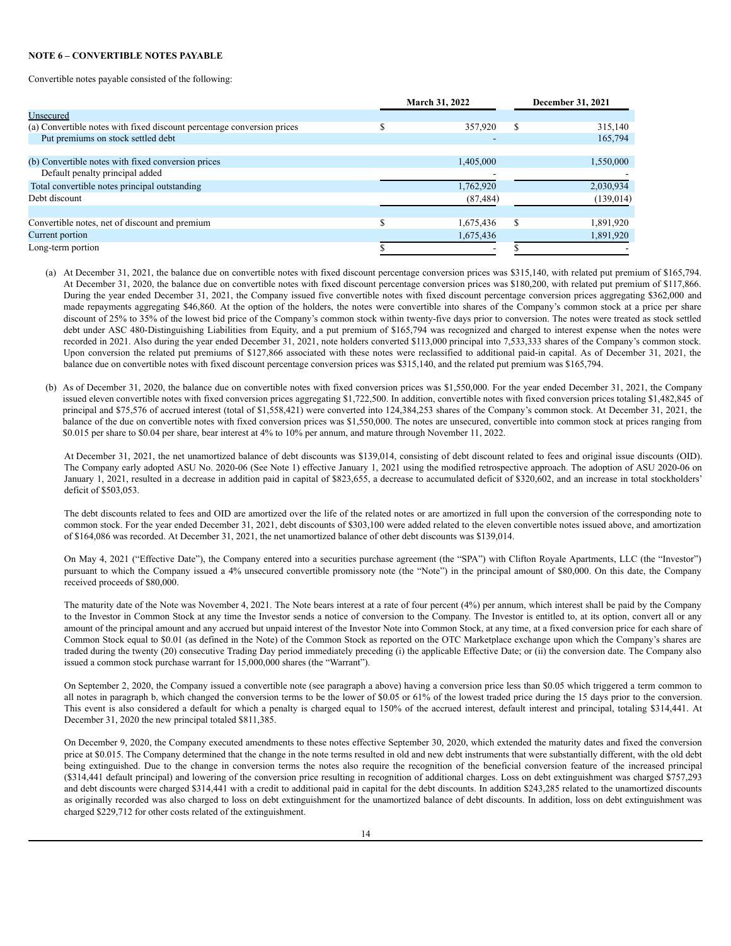#### **NOTE 6 – CONVERTIBLE NOTES PAYABLE**

Convertible notes payable consisted of the following:

|                                                                        | <b>March 31, 2022</b> |           | <b>December 31, 2021</b> |            |
|------------------------------------------------------------------------|-----------------------|-----------|--------------------------|------------|
| Unsecured                                                              |                       |           |                          |            |
| (a) Convertible notes with fixed discount percentage conversion prices |                       | 357,920   | S                        | 315,140    |
| Put premiums on stock settled debt                                     |                       |           |                          | 165,794    |
|                                                                        |                       |           |                          |            |
| (b) Convertible notes with fixed conversion prices                     |                       | 1,405,000 |                          | 1,550,000  |
| Default penalty principal added                                        |                       |           |                          |            |
| Total convertible notes principal outstanding                          |                       | 1,762,920 |                          | 2,030,934  |
| Debt discount                                                          |                       | (87, 484) |                          | (139, 014) |
|                                                                        |                       |           |                          |            |
| Convertible notes, net of discount and premium                         |                       | 1,675,436 | S                        | 1,891,920  |
| Current portion                                                        |                       | 1,675,436 |                          | 1,891,920  |
| Long-term portion                                                      |                       |           |                          |            |

- (a) At December 31, 2021, the balance due on convertible notes with fixed discount percentage conversion prices was \$315,140, with related put premium of \$165,794. At December 31, 2020, the balance due on convertible notes with fixed discount percentage conversion prices was \$180,200, with related put premium of \$117,866. During the year ended December 31, 2021, the Company issued five convertible notes with fixed discount percentage conversion prices aggregating \$362,000 and made repayments aggregating \$46,860. At the option of the holders, the notes were convertible into shares of the Company's common stock at a price per share discount of 25% to 35% of the lowest bid price of the Company's common stock within twenty-five days prior to conversion. The notes were treated as stock settled debt under ASC 480-Distinguishing Liabilities from Equity, and a put premium of \$165,794 was recognized and charged to interest expense when the notes were recorded in 2021. Also during the year ended December 31, 2021, note holders converted \$113,000 principal into 7,533,333 shares of the Company's common stock. Upon conversion the related put premiums of \$127,866 associated with these notes were reclassified to additional paid-in capital. As of December 31, 2021, the balance due on convertible notes with fixed discount percentage conversion prices was \$315,140, and the related put premium was \$165,794.
- (b) As of December 31, 2020, the balance due on convertible notes with fixed conversion prices was \$1,550,000. For the year ended December 31, 2021, the Company issued eleven convertible notes with fixed conversion prices aggregating \$1,722,500. In addition, convertible notes with fixed conversion prices totaling \$1,482,845 of principal and \$75,576 of accrued interest (total of \$1,558,421) were converted into 124,384,253 shares of the Company's common stock. At December 31, 2021, the balance of the due on convertible notes with fixed conversion prices was \$1,550,000. The notes are unsecured, convertible into common stock at prices ranging from \$0.015 per share to \$0.04 per share, bear interest at 4% to 10% per annum, and mature through November 11, 2022.

At December 31, 2021, the net unamortized balance of debt discounts was \$139,014, consisting of debt discount related to fees and original issue discounts (OID). The Company early adopted ASU No. 2020-06 (See Note 1) effective January 1, 2021 using the modified retrospective approach. The adoption of ASU 2020-06 on January 1, 2021, resulted in a decrease in addition paid in capital of \$823,655, a decrease to accumulated deficit of \$320,602, and an increase in total stockholders' deficit of \$503,053.

The debt discounts related to fees and OID are amortized over the life of the related notes or are amortized in full upon the conversion of the corresponding note to common stock. For the year ended December 31, 2021, debt discounts of \$303,100 were added related to the eleven convertible notes issued above, and amortization of \$164,086 was recorded. At December 31, 2021, the net unamortized balance of other debt discounts was \$139,014.

On May 4, 2021 ("Effective Date"), the Company entered into a securities purchase agreement (the "SPA") with Clifton Royale Apartments, LLC (the "Investor") pursuant to which the Company issued a 4% unsecured convertible promissory note (the "Note") in the principal amount of \$80,000. On this date, the Company received proceeds of \$80,000.

The maturity date of the Note was November 4, 2021. The Note bears interest at a rate of four percent (4%) per annum, which interest shall be paid by the Company to the Investor in Common Stock at any time the Investor sends a notice of conversion to the Company. The Investor is entitled to, at its option, convert all or any amount of the principal amount and any accrued but unpaid interest of the Investor Note into Common Stock, at any time, at a fixed conversion price for each share of Common Stock equal to \$0.01 (as defined in the Note) of the Common Stock as reported on the OTC Marketplace exchange upon which the Company's shares are traded during the twenty (20) consecutive Trading Day period immediately preceding (i) the applicable Effective Date; or (ii) the conversion date. The Company also issued a common stock purchase warrant for 15,000,000 shares (the "Warrant").

On September 2, 2020, the Company issued a convertible note (see paragraph a above) having a conversion price less than \$0.05 which triggered a term common to all notes in paragraph b, which changed the conversion terms to be the lower of \$0.05 or 61% of the lowest traded price during the 15 days prior to the conversion. This event is also considered a default for which a penalty is charged equal to 150% of the accrued interest, default interest and principal, totaling \$314,441. At December 31, 2020 the new principal totaled \$811,385.

On December 9, 2020, the Company executed amendments to these notes effective September 30, 2020, which extended the maturity dates and fixed the conversion price at \$0.015. The Company determined that the change in the note terms resulted in old and new debt instruments that were substantially different, with the old debt being extinguished. Due to the change in conversion terms the notes also require the recognition of the beneficial conversion feature of the increased principal (\$314,441 default principal) and lowering of the conversion price resulting in recognition of additional charges. Loss on debt extinguishment was charged \$757,293 and debt discounts were charged \$314,441 with a credit to additional paid in capital for the debt discounts. In addition \$243,285 related to the unamortized discounts as originally recorded was also charged to loss on debt extinguishment for the unamortized balance of debt discounts. In addition, loss on debt extinguishment was charged \$229,712 for other costs related of the extinguishment.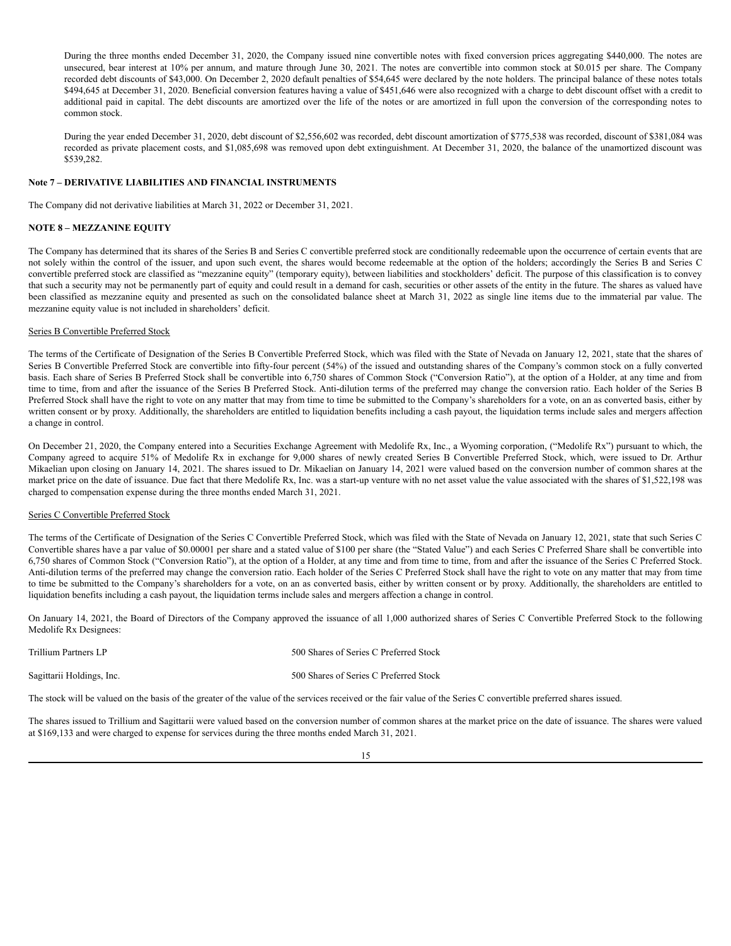During the three months ended December 31, 2020, the Company issued nine convertible notes with fixed conversion prices aggregating \$440,000. The notes are unsecured, bear interest at 10% per annum, and mature through June 30, 2021. The notes are convertible into common stock at \$0.015 per share. The Company recorded debt discounts of \$43,000. On December 2, 2020 default penalties of \$54,645 were declared by the note holders. The principal balance of these notes totals \$494,645 at December 31, 2020. Beneficial conversion features having a value of \$451,646 were also recognized with a charge to debt discount offset with a credit to additional paid in capital. The debt discounts are amortized over the life of the notes or are amortized in full upon the conversion of the corresponding notes to common stock.

During the year ended December 31, 2020, debt discount of \$2,556,602 was recorded, debt discount amortization of \$775,538 was recorded, discount of \$381,084 was recorded as private placement costs, and \$1,085,698 was removed upon debt extinguishment. At December 31, 2020, the balance of the unamortized discount was \$539,282.

#### **Note 7 – DERIVATIVE LIABILITIES AND FINANCIAL INSTRUMENTS**

The Company did not derivative liabilities at March 31, 2022 or December 31, 2021.

## **NOTE 8 – MEZZANINE EQUITY**

The Company has determined that its shares of the Series B and Series C convertible preferred stock are conditionally redeemable upon the occurrence of certain events that are not solely within the control of the issuer, and upon such event, the shares would become redeemable at the option of the holders; accordingly the Series B and Series C convertible preferred stock are classified as "mezzanine equity" (temporary equity), between liabilities and stockholders' deficit. The purpose of this classification is to convey that such a security may not be permanently part of equity and could result in a demand for cash, securities or other assets of the entity in the future. The shares as valued have been classified as mezzanine equity and presented as such on the consolidated balance sheet at March 31, 2022 as single line items due to the immaterial par value. The mezzanine equity value is not included in shareholders' deficit.

#### Series B Convertible Preferred Stock

The terms of the Certificate of Designation of the Series B Convertible Preferred Stock, which was filed with the State of Nevada on January 12, 2021, state that the shares of Series B Convertible Preferred Stock are convertible into fifty-four percent (54%) of the issued and outstanding shares of the Company's common stock on a fully converted basis. Each share of Series B Preferred Stock shall be convertible into 6,750 shares of Common Stock ("Conversion Ratio"), at the option of a Holder, at any time and from time to time, from and after the issuance of the Series B Preferred Stock. Anti-dilution terms of the preferred may change the conversion ratio. Each holder of the Series B Preferred Stock shall have the right to vote on any matter that may from time to time be submitted to the Company's shareholders for a vote, on an as converted basis, either by written consent or by proxy. Additionally, the shareholders are entitled to liquidation benefits including a cash payout, the liquidation terms include sales and mergers affection a change in control.

On December 21, 2020, the Company entered into a Securities Exchange Agreement with Medolife Rx, Inc., a Wyoming corporation, ("Medolife Rx") pursuant to which, the Company agreed to acquire 51% of Medolife Rx in exchange for 9,000 shares of newly created Series B Convertible Preferred Stock, which, were issued to Dr. Arthur Mikaelian upon closing on January 14, 2021. The shares issued to Dr. Mikaelian on January 14, 2021 were valued based on the conversion number of common shares at the market price on the date of issuance. Due fact that there Medolife Rx, Inc. was a start-up venture with no net asset value the value associated with the shares of \$1,522,198 was charged to compensation expense during the three months ended March 31, 2021.

## Series C Convertible Preferred Stock

The terms of the Certificate of Designation of the Series C Convertible Preferred Stock, which was filed with the State of Nevada on January 12, 2021, state that such Series C Convertible shares have a par value of \$0.00001 per share and a stated value of \$100 per share (the "Stated Value") and each Series C Preferred Share shall be convertible into 6,750 shares of Common Stock ("Conversion Ratio"), at the option of a Holder, at any time and from time to time, from and after the issuance of the Series C Preferred Stock. Anti-dilution terms of the preferred may change the conversion ratio. Each holder of the Series C Preferred Stock shall have the right to vote on any matter that may from time to time be submitted to the Company's shareholders for a vote, on an as converted basis, either by written consent or by proxy. Additionally, the shareholders are entitled to liquidation benefits including a cash payout, the liquidation terms include sales and mergers affection a change in control.

On January 14, 2021, the Board of Directors of the Company approved the issuance of all 1,000 authorized shares of Series C Convertible Preferred Stock to the following Medolife Rx Designees:

Trillium Partners LP 500 Shares of Series C Preferred Stock

Sagittarii Holdings, Inc. 500 Shares of Series C Preferred Stock

The stock will be valued on the basis of the greater of the value of the services received or the fair value of the Series C convertible preferred shares issued.

The shares issued to Trillium and Sagittarii were valued based on the conversion number of common shares at the market price on the date of issuance. The shares were valued at \$169,133 and were charged to expense for services during the three months ended March 31, 2021.

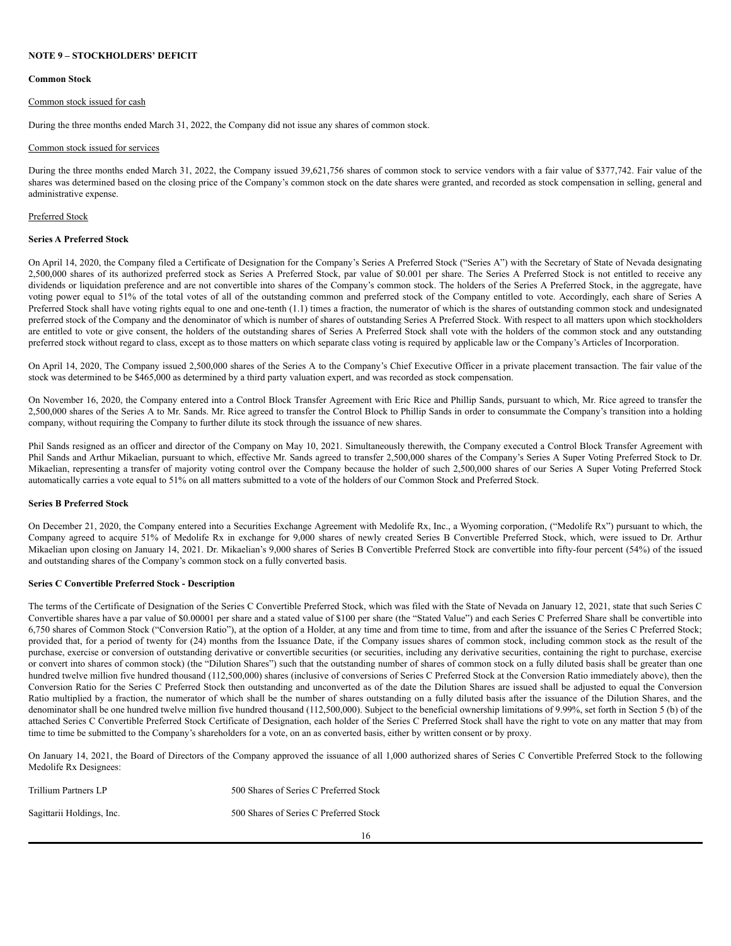#### **NOTE 9 – STOCKHOLDERS' DEFICIT**

#### **Common Stock**

#### Common stock issued for cash

During the three months ended March 31, 2022, the Company did not issue any shares of common stock.

#### Common stock issued for services

During the three months ended March 31, 2022, the Company issued 39,621,756 shares of common stock to service vendors with a fair value of \$377,742. Fair value of the shares was determined based on the closing price of the Company's common stock on the date shares were granted, and recorded as stock compensation in selling, general and administrative expense.

#### Preferred Stock

#### **Series A Preferred Stock**

On April 14, 2020, the Company filed a Certificate of Designation for the Company's Series A Preferred Stock ("Series A") with the Secretary of State of Nevada designating 2,500,000 shares of its authorized preferred stock as Series A Preferred Stock, par value of \$0.001 per share. The Series A Preferred Stock is not entitled to receive any dividends or liquidation preference and are not convertible into shares of the Company's common stock. The holders of the Series A Preferred Stock, in the aggregate, have voting power equal to 51% of the total votes of all of the outstanding common and preferred stock of the Company entitled to vote. Accordingly, each share of Series A Preferred Stock shall have voting rights equal to one and one-tenth (1.1) times a fraction, the numerator of which is the shares of outstanding common stock and undesignated preferred stock of the Company and the denominator of which is number of shares of outstanding Series A Preferred Stock. With respect to all matters upon which stockholders are entitled to vote or give consent, the holders of the outstanding shares of Series A Preferred Stock shall vote with the holders of the common stock and any outstanding preferred stock without regard to class, except as to those matters on which separate class voting is required by applicable law or the Company's Articles of Incorporation.

On April 14, 2020, The Company issued 2,500,000 shares of the Series A to the Company's Chief Executive Officer in a private placement transaction. The fair value of the stock was determined to be \$465,000 as determined by a third party valuation expert, and was recorded as stock compensation.

On November 16, 2020, the Company entered into a Control Block Transfer Agreement with Eric Rice and Phillip Sands, pursuant to which, Mr. Rice agreed to transfer the 2,500,000 shares of the Series A to Mr. Sands. Mr. Rice agreed to transfer the Control Block to Phillip Sands in order to consummate the Company's transition into a holding company, without requiring the Company to further dilute its stock through the issuance of new shares.

Phil Sands resigned as an officer and director of the Company on May 10, 2021. Simultaneously therewith, the Company executed a Control Block Transfer Agreement with Phil Sands and Arthur Mikaelian, pursuant to which, effective Mr. Sands agreed to transfer 2,500,000 shares of the Company's Series A Super Voting Preferred Stock to Dr. Mikaelian, representing a transfer of majority voting control over the Company because the holder of such 2,500,000 shares of our Series A Super Voting Preferred Stock automatically carries a vote equal to 51% on all matters submitted to a vote of the holders of our Common Stock and Preferred Stock.

#### **Series B Preferred Stock**

On December 21, 2020, the Company entered into a Securities Exchange Agreement with Medolife Rx, Inc., a Wyoming corporation, ("Medolife Rx") pursuant to which, the Company agreed to acquire 51% of Medolife Rx in exchange for 9,000 shares of newly created Series B Convertible Preferred Stock, which, were issued to Dr. Arthur Mikaelian upon closing on January 14, 2021. Dr. Mikaelian's 9,000 shares of Series B Convertible Preferred Stock are convertible into fifty-four percent (54%) of the issued and outstanding shares of the Company's common stock on a fully converted basis.

#### **Series C Convertible Preferred Stock - Description**

The terms of the Certificate of Designation of the Series C Convertible Preferred Stock, which was filed with the State of Nevada on January 12, 2021, state that such Series C Convertible shares have a par value of \$0.00001 per share and a stated value of \$100 per share (the "Stated Value") and each Series C Preferred Share shall be convertible into 6,750 shares of Common Stock ("Conversion Ratio"), at the option of a Holder, at any time and from time to time, from and after the issuance of the Series C Preferred Stock; provided that, for a period of twenty for (24) months from the Issuance Date, if the Company issues shares of common stock, including common stock as the result of the purchase, exercise or conversion of outstanding derivative or convertible securities (or securities, including any derivative securities, containing the right to purchase, exercise or convert into shares of common stock) (the "Dilution Shares") such that the outstanding number of shares of common stock on a fully diluted basis shall be greater than one hundred twelve million five hundred thousand (112,500,000) shares (inclusive of conversions of Series C Preferred Stock at the Conversion Ratio immediately above), then the Conversion Ratio for the Series C Preferred Stock then outstanding and unconverted as of the date the Dilution Shares are issued shall be adjusted to equal the Conversion Ratio multiplied by a fraction, the numerator of which shall be the number of shares outstanding on a fully diluted basis after the issuance of the Dilution Shares, and the denominator shall be one hundred twelve million five hundred thousand (112,500,000). Subject to the beneficial ownership limitations of 9.99%, set forth in Section 5 (b) of the attached Series C Convertible Preferred Stock Certificate of Designation, each holder of the Series C Preferred Stock shall have the right to vote on any matter that may from time to time be submitted to the Company's shareholders for a vote, on an as converted basis, either by written consent or by proxy.

On January 14, 2021, the Board of Directors of the Company approved the issuance of all 1,000 authorized shares of Series C Convertible Preferred Stock to the following Medolife Rx Designees:

| Trillium Partners LP      | 500 Shares of Series C Preferred Stock |
|---------------------------|----------------------------------------|
| Sagittarii Holdings, Inc. | 500 Shares of Series C Preferred Stock |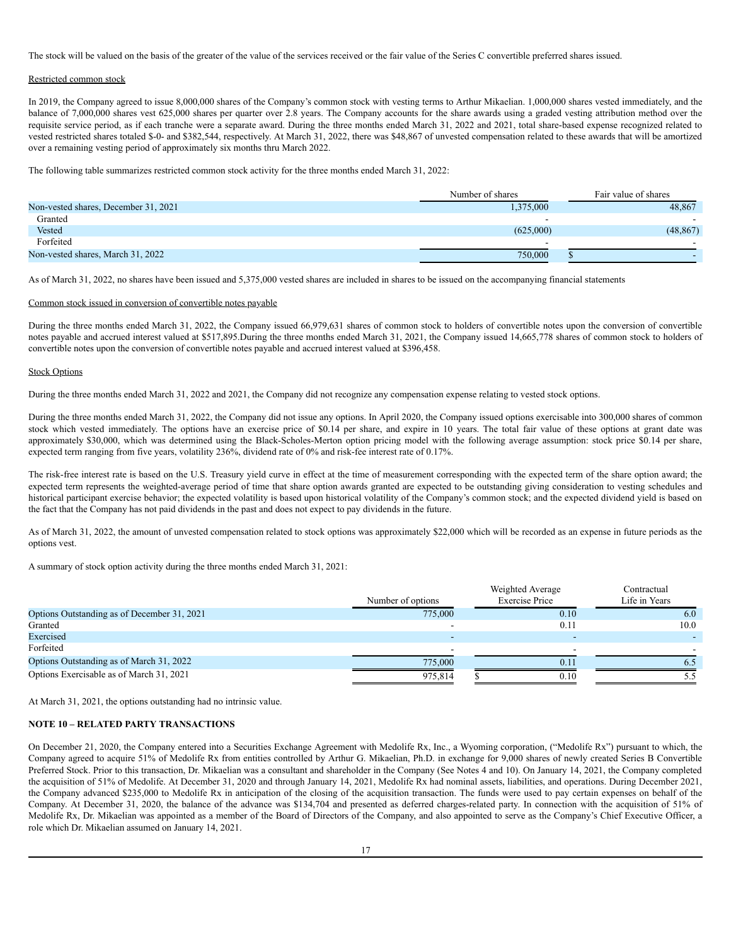The stock will be valued on the basis of the greater of the value of the services received or the fair value of the Series C convertible preferred shares issued.

#### Restricted common stock

In 2019, the Company agreed to issue 8,000,000 shares of the Company's common stock with vesting terms to Arthur Mikaelian. 1,000,000 shares vested immediately, and the balance of 7,000,000 shares vest 625,000 shares per quarter over 2.8 years. The Company accounts for the share awards using a graded vesting attribution method over the requisite service period, as if each tranche were a separate award. During the three months ended March 31, 2022 and 2021, total share-based expense recognized related to vested restricted shares totaled \$-0- and \$382,544, respectively. At March 31, 2022, there was \$48,867 of unvested compensation related to these awards that will be amortized over a remaining vesting period of approximately six months thru March 2022.

The following table summarizes restricted common stock activity for the three months ended March 31, 2022:

|                                      | Number of shares | Fair value of shares |
|--------------------------------------|------------------|----------------------|
| Non-vested shares, December 31, 2021 | 1,375,000        | 48,867               |
| Granted                              | -                |                      |
| Vested                               | (625,000)        | (48, 867)            |
| Forfeited                            |                  |                      |
| Non-vested shares, March 31, 2022    | 750,000          |                      |

As of March 31, 2022, no shares have been issued and 5,375,000 vested shares are included in shares to be issued on the accompanying financial statements

#### Common stock issued in conversion of convertible notes payable

During the three months ended March 31, 2022, the Company issued 66,979,631 shares of common stock to holders of convertible notes upon the conversion of convertible notes payable and accrued interest valued at \$517,895.During the three months ended March 31, 2021, the Company issued 14,665,778 shares of common stock to holders of convertible notes upon the conversion of convertible notes payable and accrued interest valued at \$396,458.

#### Stock Options

During the three months ended March 31, 2022 and 2021, the Company did not recognize any compensation expense relating to vested stock options.

During the three months ended March 31, 2022, the Company did not issue any options. In April 2020, the Company issued options exercisable into 300,000 shares of common stock which vested immediately. The options have an exercise price of \$0.14 per share, and expire in 10 years. The total fair value of these options at grant date was approximately \$30,000, which was determined using the Black-Scholes-Merton option pricing model with the following average assumption: stock price \$0.14 per share, expected term ranging from five years, volatility 236%, dividend rate of 0% and risk-fee interest rate of 0.17%.

The risk-free interest rate is based on the U.S. Treasury yield curve in effect at the time of measurement corresponding with the expected term of the share option award; the expected term represents the weighted-average period of time that share option awards granted are expected to be outstanding giving consideration to vesting schedules and historical participant exercise behavior; the expected volatility is based upon historical volatility of the Company's common stock; and the expected dividend yield is based on the fact that the Company has not paid dividends in the past and does not expect to pay dividends in the future.

As of March 31, 2022, the amount of unvested compensation related to stock options was approximately \$22,000 which will be recorded as an expense in future periods as the options vest.

A summary of stock option activity during the three months ended March 31, 2021:

|                                             |                   | Weighted Average      | Contractual   |
|---------------------------------------------|-------------------|-----------------------|---------------|
|                                             | Number of options | <b>Exercise Price</b> | Life in Years |
| Options Outstanding as of December 31, 2021 | 775,000           | 0.10                  | 6.0           |
| Granted                                     |                   | 0.11                  | 10.0          |
| Exercised                                   |                   |                       |               |
| Forfeited                                   |                   |                       |               |
| Options Outstanding as of March 31, 2022    | 775,000           | 0.11                  | 6.5           |
| Options Exercisable as of March 31, 2021    | 975,814           | 0.10                  | ے ۔ ب         |

At March 31, 2021, the options outstanding had no intrinsic value.

#### **NOTE 10 – RELATED PARTY TRANSACTIONS**

On December 21, 2020, the Company entered into a Securities Exchange Agreement with Medolife Rx, Inc., a Wyoming corporation, ("Medolife Rx") pursuant to which, the Company agreed to acquire 51% of Medolife Rx from entities controlled by Arthur G. Mikaelian, Ph.D. in exchange for 9,000 shares of newly created Series B Convertible Preferred Stock. Prior to this transaction, Dr. Mikaelian was a consultant and shareholder in the Company (See Notes 4 and 10). On January 14, 2021, the Company completed the acquisition of 51% of Medolife. At December 31, 2020 and through January 14, 2021, Medolife Rx had nominal assets, liabilities, and operations. During December 2021, the Company advanced \$235,000 to Medolife Rx in anticipation of the closing of the acquisition transaction. The funds were used to pay certain expenses on behalf of the Company. At December 31, 2020, the balance of the advance was \$134,704 and presented as deferred charges-related party. In connection with the acquisition of 51% of Medolife Rx, Dr. Mikaelian was appointed as a member of the Board of Directors of the Company, and also appointed to serve as the Company's Chief Executive Officer, a role which Dr. Mikaelian assumed on January 14, 2021.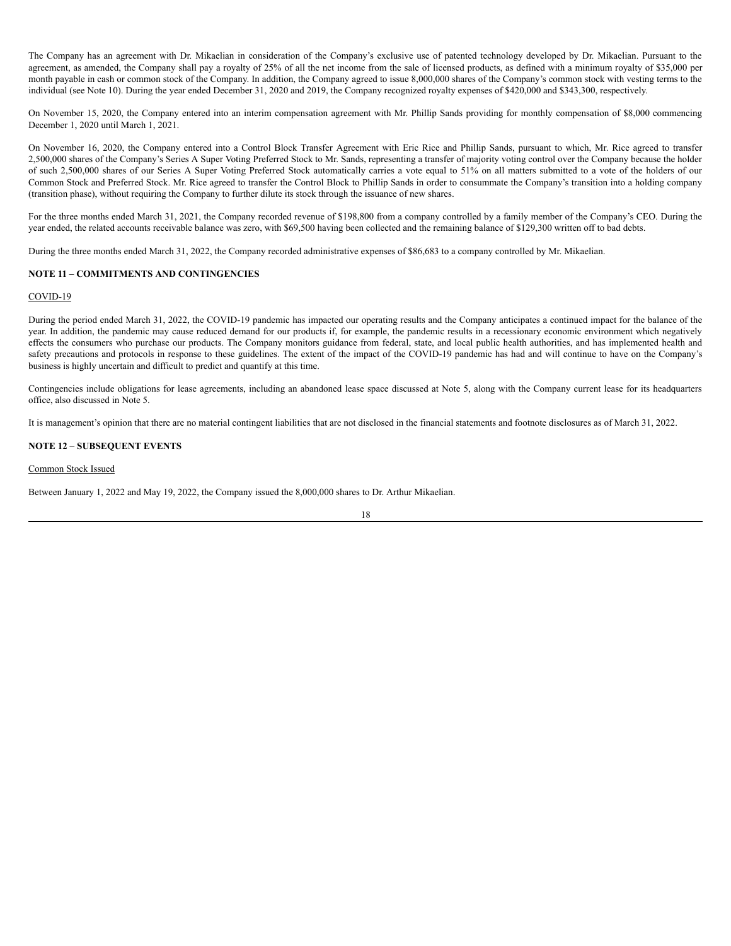The Company has an agreement with Dr. Mikaelian in consideration of the Company's exclusive use of patented technology developed by Dr. Mikaelian. Pursuant to the agreement, as amended, the Company shall pay a royalty of 25% of all the net income from the sale of licensed products, as defined with a minimum royalty of \$35,000 per month payable in cash or common stock of the Company. In addition, the Company agreed to issue 8,000,000 shares of the Company's common stock with vesting terms to the individual (see Note 10). During the year ended December 31, 2020 and 2019, the Company recognized royalty expenses of \$420,000 and \$343,300, respectively.

On November 15, 2020, the Company entered into an interim compensation agreement with Mr. Phillip Sands providing for monthly compensation of \$8,000 commencing December 1, 2020 until March 1, 2021.

On November 16, 2020, the Company entered into a Control Block Transfer Agreement with Eric Rice and Phillip Sands, pursuant to which, Mr. Rice agreed to transfer 2,500,000 shares of the Company's Series A Super Voting Preferred Stock to Mr. Sands, representing a transfer of majority voting control over the Company because the holder of such 2,500,000 shares of our Series A Super Voting Preferred Stock automatically carries a vote equal to 51% on all matters submitted to a vote of the holders of our Common Stock and Preferred Stock. Mr. Rice agreed to transfer the Control Block to Phillip Sands in order to consummate the Company's transition into a holding company (transition phase), without requiring the Company to further dilute its stock through the issuance of new shares.

For the three months ended March 31, 2021, the Company recorded revenue of \$198,800 from a company controlled by a family member of the Company's CEO. During the year ended, the related accounts receivable balance was zero, with \$69,500 having been collected and the remaining balance of \$129,300 written off to bad debts.

During the three months ended March 31, 2022, the Company recorded administrative expenses of \$86,683 to a company controlled by Mr. Mikaelian.

#### **NOTE 11 – COMMITMENTS AND CONTINGENCIES**

#### COVID-19

During the period ended March 31, 2022, the COVID-19 pandemic has impacted our operating results and the Company anticipates a continued impact for the balance of the year. In addition, the pandemic may cause reduced demand for our products if, for example, the pandemic results in a recessionary economic environment which negatively effects the consumers who purchase our products. The Company monitors guidance from federal, state, and local public health authorities, and has implemented health and safety precautions and protocols in response to these guidelines. The extent of the impact of the COVID-19 pandemic has had and will continue to have on the Company's business is highly uncertain and difficult to predict and quantify at this time.

Contingencies include obligations for lease agreements, including an abandoned lease space discussed at Note 5, along with the Company current lease for its headquarters office, also discussed in Note 5.

It is management's opinion that there are no material contingent liabilities that are not disclosed in the financial statements and footnote disclosures as of March 31, 2022.

## **NOTE 12 – SUBSEQUENT EVENTS**

Common Stock Issued

Between January 1, 2022 and May 19, 2022, the Company issued the 8,000,000 shares to Dr. Arthur Mikaelian.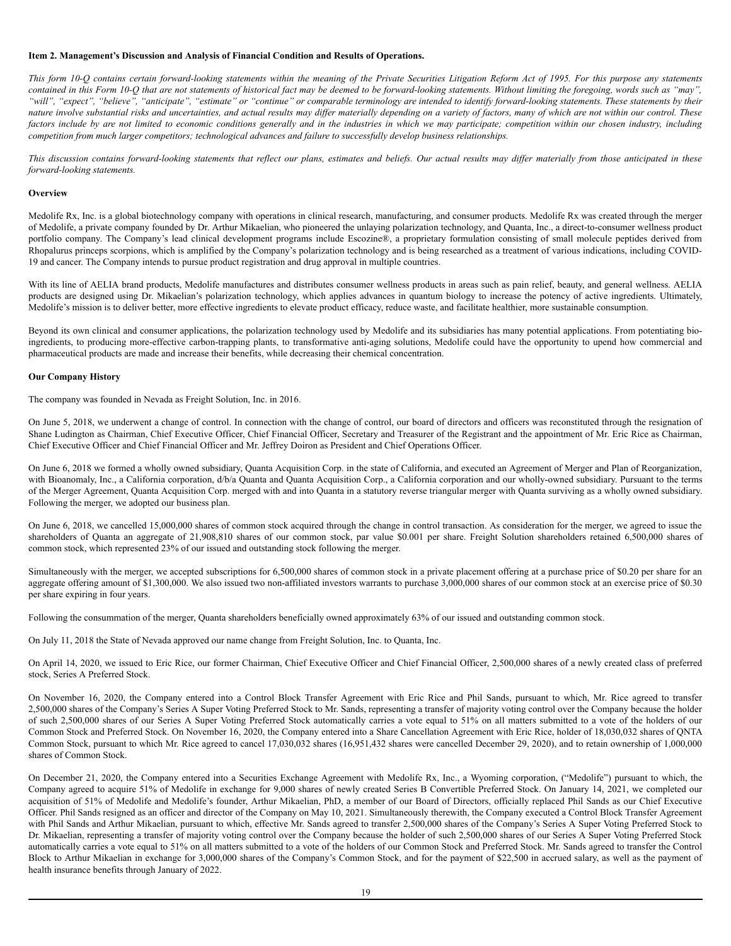#### <span id="page-18-0"></span>**Item 2. Management's Discussion and Analysis of Financial Condition and Results of Operations.**

This form 10-Q contains certain forward-looking statements within the meaning of the Private Securities Litigation Reform Act of 1995. For this purpose any statements contained in this Form 10-O that are not statements of historical fact may be deemed to be forward-looking statements. Without limiting the foregoing, words such as "may", "will", "expect", "believe", "anticipate", "estimate" or "continue" or comparable terminology are intended to identify forward-looking statements. These statements by their nature involve substantial risks and uncertainties, and actual results may differ materially depending on a variety of factors, many of which are not within our control. These factors include by are not limited to economic conditions generally and in the industries in which we may participate; competition within our chosen industry, including *competition from much larger competitors; technological advances and failure to successfully develop business relationships.*

This discussion contains forward-looking statements that reflect our plans, estimates and beliefs. Our actual results may differ materially from those anticipated in these *forward-looking statements.*

#### **Overview**

Medolife Rx, Inc. is a global biotechnology company with operations in clinical research, manufacturing, and consumer products. Medolife Rx was created through the merger of Medolife, a private company founded by Dr. Arthur Mikaelian, who pioneered the unlaying polarization technology, and Quanta, Inc., a direct-to-consumer wellness product portfolio company. The Company's lead clinical development programs include Escozine®, a proprietary formulation consisting of small molecule peptides derived from Rhopalurus princeps scorpions, which is amplified by the Company's polarization technology and is being researched as a treatment of various indications, including COVID-19 and cancer. The Company intends to pursue product registration and drug approval in multiple countries.

With its line of AELIA brand products, Medolife manufactures and distributes consumer wellness products in areas such as pain relief, beauty, and general wellness. AELIA products are designed using Dr. Mikaelian's polarization technology, which applies advances in quantum biology to increase the potency of active ingredients. Ultimately, Medolife's mission is to deliver better, more effective ingredients to elevate product efficacy, reduce waste, and facilitate healthier, more sustainable consumption.

Beyond its own clinical and consumer applications, the polarization technology used by Medolife and its subsidiaries has many potential applications. From potentiating bioingredients, to producing more-effective carbon-trapping plants, to transformative anti-aging solutions, Medolife could have the opportunity to upend how commercial and pharmaceutical products are made and increase their benefits, while decreasing their chemical concentration.

## **Our Company History**

The company was founded in Nevada as Freight Solution, Inc. in 2016.

On June 5, 2018, we underwent a change of control. In connection with the change of control, our board of directors and officers was reconstituted through the resignation of Shane Ludington as Chairman, Chief Executive Officer, Chief Financial Officer, Secretary and Treasurer of the Registrant and the appointment of Mr. Eric Rice as Chairman, Chief Executive Officer and Chief Financial Officer and Mr. Jeffrey Doiron as President and Chief Operations Officer.

On June 6, 2018 we formed a wholly owned subsidiary, Quanta Acquisition Corp. in the state of California, and executed an Agreement of Merger and Plan of Reorganization, with Bioanomaly, Inc., a California corporation, d/b/a Quanta and Quanta Acquisition Corp., a California corporation and our wholly-owned subsidiary. Pursuant to the terms of the Merger Agreement, Quanta Acquisition Corp. merged with and into Quanta in a statutory reverse triangular merger with Quanta surviving as a wholly owned subsidiary. Following the merger, we adopted our business plan.

On June 6, 2018, we cancelled 15,000,000 shares of common stock acquired through the change in control transaction. As consideration for the merger, we agreed to issue the shareholders of Quanta an aggregate of 21,908,810 shares of our common stock, par value \$0.001 per share. Freight Solution shareholders retained 6,500,000 shares of common stock, which represented 23% of our issued and outstanding stock following the merger.

Simultaneously with the merger, we accepted subscriptions for 6,500,000 shares of common stock in a private placement offering at a purchase price of \$0.20 per share for an aggregate offering amount of \$1,300,000. We also issued two non-affiliated investors warrants to purchase 3,000,000 shares of our common stock at an exercise price of \$0.30 per share expiring in four years.

Following the consummation of the merger, Quanta shareholders beneficially owned approximately 63% of our issued and outstanding common stock.

On July 11, 2018 the State of Nevada approved our name change from Freight Solution, Inc. to Quanta, Inc.

On April 14, 2020, we issued to Eric Rice, our former Chairman, Chief Executive Officer and Chief Financial Officer, 2,500,000 shares of a newly created class of preferred stock, Series A Preferred Stock.

On November 16, 2020, the Company entered into a Control Block Transfer Agreement with Eric Rice and Phil Sands, pursuant to which, Mr. Rice agreed to transfer 2,500,000 shares of the Company's Series A Super Voting Preferred Stock to Mr. Sands, representing a transfer of majority voting control over the Company because the holder of such 2,500,000 shares of our Series A Super Voting Preferred Stock automatically carries a vote equal to 51% on all matters submitted to a vote of the holders of our Common Stock and Preferred Stock. On November 16, 2020, the Company entered into a Share Cancellation Agreement with Eric Rice, holder of 18,030,032 shares of QNTA Common Stock, pursuant to which Mr. Rice agreed to cancel 17,030,032 shares (16,951,432 shares were cancelled December 29, 2020), and to retain ownership of 1,000,000 shares of Common Stock.

On December 21, 2020, the Company entered into a Securities Exchange Agreement with Medolife Rx, Inc., a Wyoming corporation, ("Medolife") pursuant to which, the Company agreed to acquire 51% of Medolife in exchange for 9,000 shares of newly created Series B Convertible Preferred Stock. On January 14, 2021, we completed our acquisition of 51% of Medolife and Medolife's founder, Arthur Mikaelian, PhD, a member of our Board of Directors, officially replaced Phil Sands as our Chief Executive Officer. Phil Sands resigned as an officer and director of the Company on May 10, 2021. Simultaneously therewith, the Company executed a Control Block Transfer Agreement with Phil Sands and Arthur Mikaelian, pursuant to which, effective Mr. Sands agreed to transfer 2,500,000 shares of the Company's Series A Super Voting Preferred Stock to Dr. Mikaelian, representing a transfer of majority voting control over the Company because the holder of such 2,500,000 shares of our Series A Super Voting Preferred Stock automatically carries a vote equal to 51% on all matters submitted to a vote of the holders of our Common Stock and Preferred Stock. Mr. Sands agreed to transfer the Control Block to Arthur Mikaelian in exchange for 3,000,000 shares of the Company's Common Stock, and for the payment of \$22,500 in accrued salary, as well as the payment of health insurance benefits through January of 2022.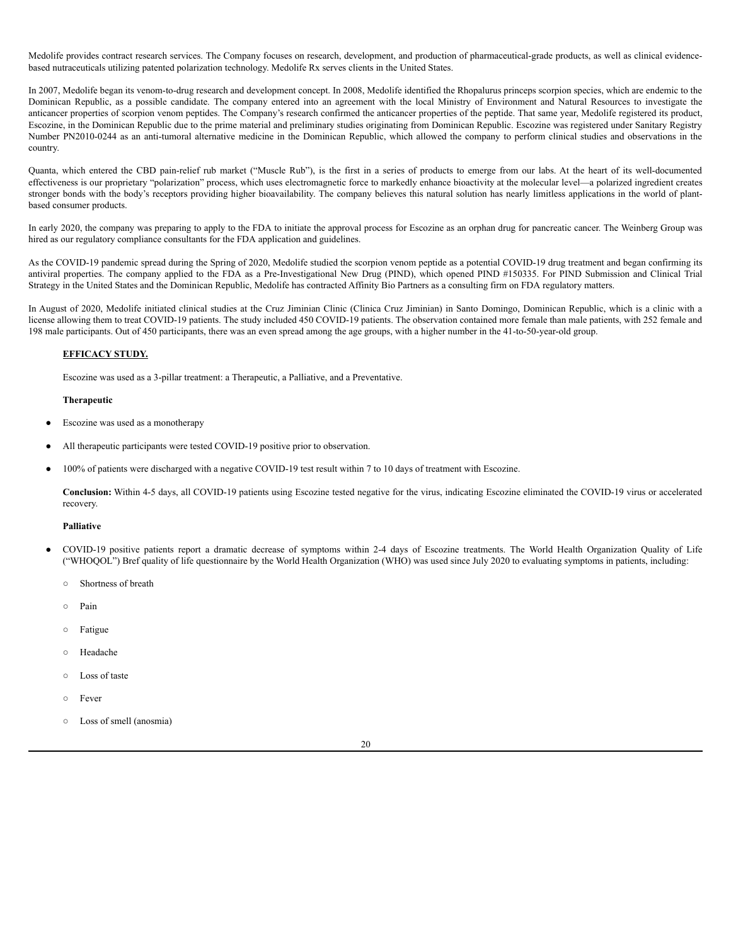Medolife provides contract research services. The Company focuses on research, development, and production of pharmaceutical-grade products, as well as clinical evidencebased nutraceuticals utilizing patented polarization technology. Medolife Rx serves clients in the United States.

In 2007, Medolife began its venom-to-drug research and development concept. In 2008, Medolife identified the Rhopalurus princeps scorpion species, which are endemic to the Dominican Republic, as a possible candidate. The company entered into an agreement with the local Ministry of Environment and Natural Resources to investigate the anticancer properties of scorpion venom peptides. The Company's research confirmed the anticancer properties of the peptide. That same year, Medolife registered its product, Escozine, in the Dominican Republic due to the prime material and preliminary studies originating from Dominican Republic. Escozine was registered under Sanitary Registry Number PN2010-0244 as an anti-tumoral alternative medicine in the Dominican Republic, which allowed the company to perform clinical studies and observations in the country.

Quanta, which entered the CBD pain-relief rub market ("Muscle Rub"), is the first in a series of products to emerge from our labs. At the heart of its well-documented effectiveness is our proprietary "polarization" process, which uses electromagnetic force to markedly enhance bioactivity at the molecular level—a polarized ingredient creates stronger bonds with the body's receptors providing higher bioavailability. The company believes this natural solution has nearly limitless applications in the world of plantbased consumer products.

In early 2020, the company was preparing to apply to the FDA to initiate the approval process for Escozine as an orphan drug for pancreatic cancer. The Weinberg Group was hired as our regulatory compliance consultants for the FDA application and guidelines.

As the COVID-19 pandemic spread during the Spring of 2020, Medolife studied the scorpion venom peptide as a potential COVID-19 drug treatment and began confirming its antiviral properties. The company applied to the FDA as a Pre-Investigational New Drug (PIND), which opened PIND #150335. For PIND Submission and Clinical Trial Strategy in the United States and the Dominican Republic, Medolife has contracted Affinity Bio Partners as a consulting firm on FDA regulatory matters.

In August of 2020, Medolife initiated clinical studies at the Cruz Jiminian Clinic (Clinica Cruz Jiminian) in Santo Domingo, Dominican Republic, which is a clinic with a license allowing them to treat COVID-19 patients. The study included 450 COVID-19 patients. The observation contained more female than male patients, with 252 female and 198 male participants. Out of 450 participants, there was an even spread among the age groups, with a higher number in the 41-to-50-year-old group.

## **EFFICACY STUDY.**

Escozine was used as a 3-pillar treatment: a Therapeutic, a Palliative, and a Preventative.

#### **Therapeutic**

- Escozine was used as a monotherapy
- All therapeutic participants were tested COVID-19 positive prior to observation.
- 100% of patients were discharged with a negative COVID-19 test result within 7 to 10 days of treatment with Escozine.

**Conclusion:** Within 4-5 days, all COVID-19 patients using Escozine tested negative for the virus, indicating Escozine eliminated the COVID-19 virus or accelerated recovery.

#### **Palliative**

- COVID-19 positive patients report a dramatic decrease of symptoms within 2-4 days of Escozine treatments. The World Health Organization Quality of Life ("WHOQOL") Bref quality of life questionnaire by the World Health Organization (WHO) was used since July 2020 to evaluating symptoms in patients, including:
	- Shortness of breath
	- Pain
	- Fatigue
	- Headache
	- Loss of taste
	- Fever
	- Loss of smell (anosmia)

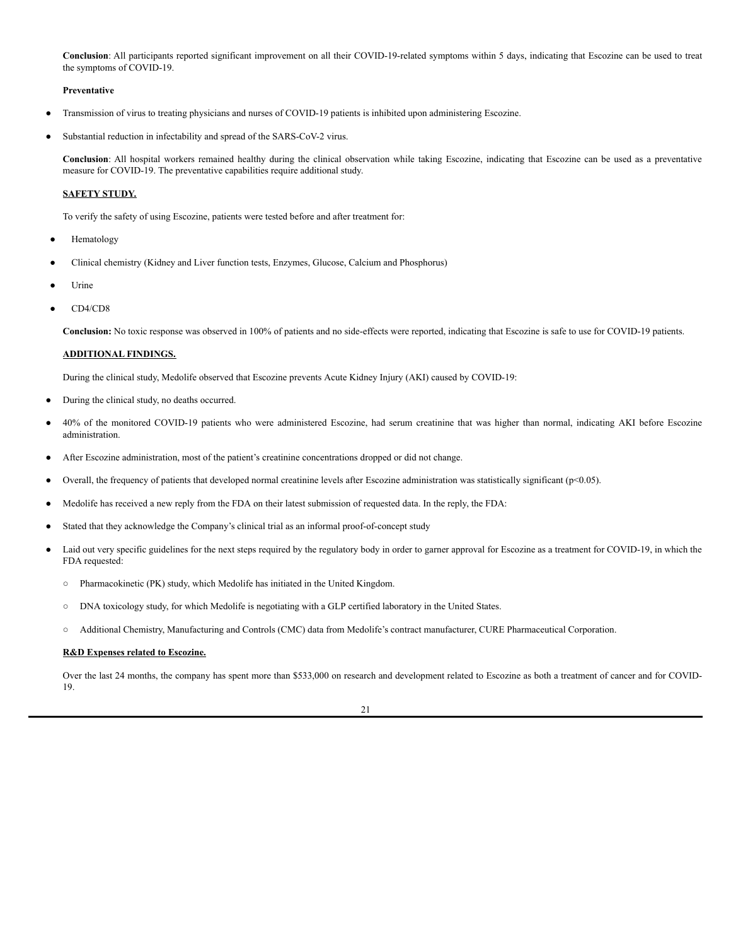**Conclusion**: All participants reported significant improvement on all their COVID-19-related symptoms within 5 days, indicating that Escozine can be used to treat the symptoms of COVID-19.

#### **Preventative**

- Transmission of virus to treating physicians and nurses of COVID-19 patients is inhibited upon administering Escozine.
- Substantial reduction in infectability and spread of the SARS-CoV-2 virus.

**Conclusion**: All hospital workers remained healthy during the clinical observation while taking Escozine, indicating that Escozine can be used as a preventative measure for COVID-19. The preventative capabilities require additional study.

## **SAFETY STUDY.**

To verify the safety of using Escozine, patients were tested before and after treatment for:

- Hematology
- Clinical chemistry (Kidney and Liver function tests, Enzymes, Glucose, Calcium and Phosphorus)
- Urine
- CD4/CD8

**Conclusion:** No toxic response was observed in 100% of patients and no side-effects were reported, indicating that Escozine is safe to use for COVID-19 patients.

## **ADDITIONAL FINDINGS.**

During the clinical study, Medolife observed that Escozine prevents Acute Kidney Injury (AKI) caused by COVID-19:

- During the clinical study, no deaths occurred.
- 40% of the monitored COVID-19 patients who were administered Escozine, had serum creatinine that was higher than normal, indicating AKI before Escozine administration.
- After Escozine administration, most of the patient's creatinine concentrations dropped or did not change.
- Overall, the frequency of patients that developed normal creatinine levels after Escozine administration was statistically significant ( $p$ <0.05).
- Medolife has received a new reply from the FDA on their latest submission of requested data. In the reply, the FDA:
- Stated that they acknowledge the Company's clinical trial as an informal proof-of-concept study
- Laid out very specific guidelines for the next steps required by the regulatory body in order to garner approval for Escozine as a treatment for COVID-19, in which the FDA requested:
	- Pharmacokinetic (PK) study, which Medolife has initiated in the United Kingdom.
	- DNA toxicology study, for which Medolife is negotiating with a GLP certified laboratory in the United States.
	- Additional Chemistry, Manufacturing and Controls (CMC) data from Medolife's contract manufacturer, CURE Pharmaceutical Corporation.

#### **R&D Expenses related to Escozine.**

Over the last 24 months, the company has spent more than \$533,000 on research and development related to Escozine as both a treatment of cancer and for COVID-19.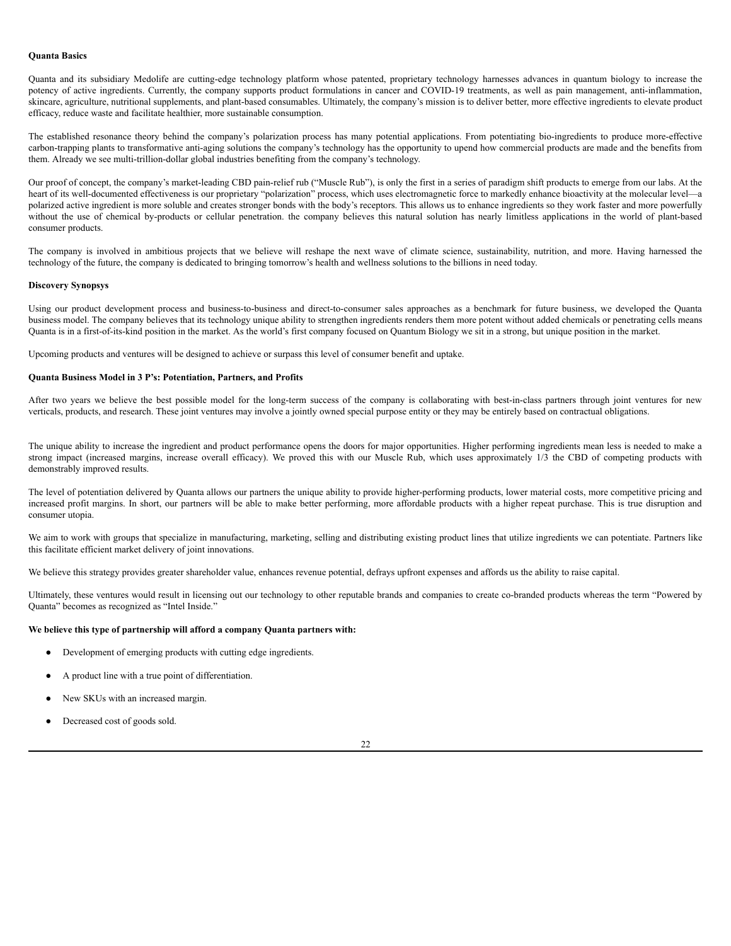#### **Quanta Basics**

Quanta and its subsidiary Medolife are cutting-edge technology platform whose patented, proprietary technology harnesses advances in quantum biology to increase the potency of active ingredients. Currently, the company supports product formulations in cancer and COVID-19 treatments, as well as pain management, anti-inflammation, skincare, agriculture, nutritional supplements, and plant-based consumables. Ultimately, the company's mission is to deliver better, more effective ingredients to elevate product efficacy, reduce waste and facilitate healthier, more sustainable consumption.

The established resonance theory behind the company's polarization process has many potential applications. From potentiating bio-ingredients to produce more-effective carbon-trapping plants to transformative anti-aging solutions the company's technology has the opportunity to upend how commercial products are made and the benefits from them. Already we see multi-trillion-dollar global industries benefiting from the company's technology.

Our proof of concept, the company's market-leading CBD pain-relief rub ("Muscle Rub"), is only the first in a series of paradigm shift products to emerge from our labs. At the heart of its well-documented effectiveness is our proprietary "polarization" process, which uses electromagnetic force to markedly enhance bioactivity at the molecular level—a polarized active ingredient is more soluble and creates stronger bonds with the body's receptors. This allows us to enhance ingredients so they work faster and more powerfully without the use of chemical by-products or cellular penetration. the company believes this natural solution has nearly limitless applications in the world of plant-based consumer products.

The company is involved in ambitious projects that we believe will reshape the next wave of climate science, sustainability, nutrition, and more. Having harnessed the technology of the future, the company is dedicated to bringing tomorrow's health and wellness solutions to the billions in need today.

#### **Discovery Synopsys**

Using our product development process and business-to-business and direct-to-consumer sales approaches as a benchmark for future business, we developed the Quanta business model. The company believes that its technology unique ability to strengthen ingredients renders them more potent without added chemicals or penetrating cells means Quanta is in a first-of-its-kind position in the market. As the world's first company focused on Quantum Biology we sit in a strong, but unique position in the market.

Upcoming products and ventures will be designed to achieve or surpass this level of consumer benefit and uptake.

#### **Quanta Business Model in 3 P's: Potentiation, Partners, and Profits**

After two years we believe the best possible model for the long-term success of the company is collaborating with best-in-class partners through joint ventures for new verticals, products, and research. These joint ventures may involve a jointly owned special purpose entity or they may be entirely based on contractual obligations.

The unique ability to increase the ingredient and product performance opens the doors for major opportunities. Higher performing ingredients mean less is needed to make a strong impact (increased margins, increase overall efficacy). We proved this with our Muscle Rub, which uses approximately 1/3 the CBD of competing products with demonstrably improved results.

The level of potentiation delivered by Quanta allows our partners the unique ability to provide higher-performing products, lower material costs, more competitive pricing and increased profit margins. In short, our partners will be able to make better performing, more affordable products with a higher repeat purchase. This is true disruption and consumer utopia.

We aim to work with groups that specialize in manufacturing, marketing, selling and distributing existing product lines that utilize ingredients we can potentiate. Partners like this facilitate efficient market delivery of joint innovations.

We believe this strategy provides greater shareholder value, enhances revenue potential, defrays upfront expenses and affords us the ability to raise capital.

Ultimately, these ventures would result in licensing out our technology to other reputable brands and companies to create co-branded products whereas the term "Powered by Quanta" becomes as recognized as "Intel Inside."

#### **We believe this type of partnership will afford a company Quanta partners with:**

- Development of emerging products with cutting edge ingredients.
- A product line with a true point of differentiation.
- New SKUs with an increased margin.
- Decreased cost of goods sold.

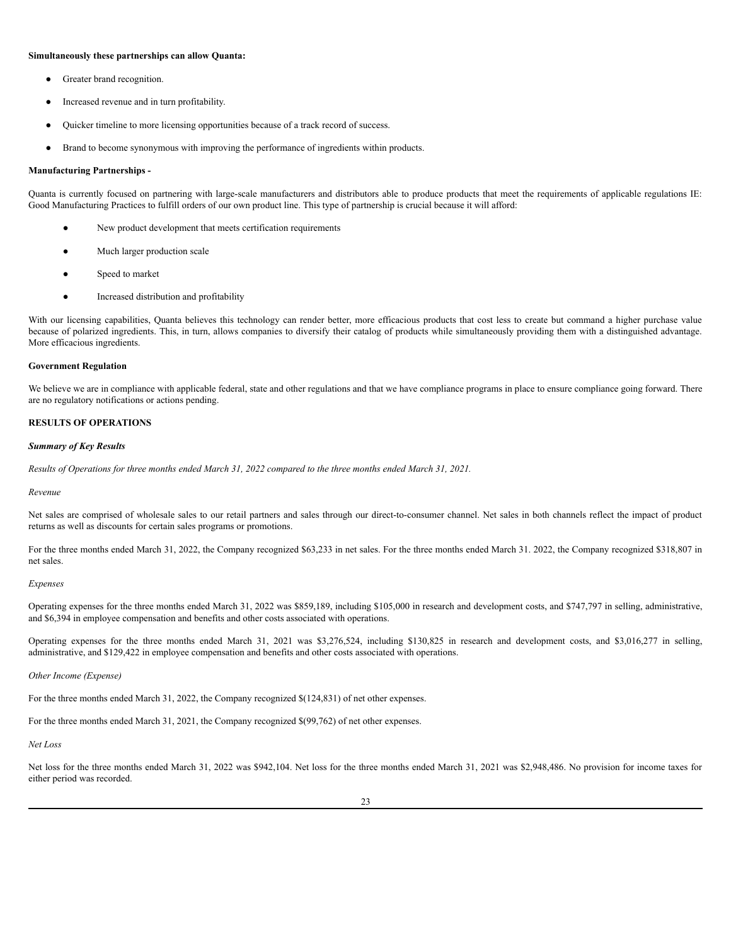#### **Simultaneously these partnerships can allow Quanta:**

- Greater brand recognition.
- Increased revenue and in turn profitability.
- Quicker timeline to more licensing opportunities because of a track record of success.
- Brand to become synonymous with improving the performance of ingredients within products.

#### **Manufacturing Partnerships -**

Quanta is currently focused on partnering with large-scale manufacturers and distributors able to produce products that meet the requirements of applicable regulations IE: Good Manufacturing Practices to fulfill orders of our own product line. This type of partnership is crucial because it will afford:

- New product development that meets certification requirements
- Much larger production scale
- Speed to market
- Increased distribution and profitability

With our licensing capabilities, Quanta believes this technology can render better, more efficacious products that cost less to create but command a higher purchase value because of polarized ingredients. This, in turn, allows companies to diversify their catalog of products while simultaneously providing them with a distinguished advantage. More efficacious ingredients.

#### **Government Regulation**

We believe we are in compliance with applicable federal, state and other regulations and that we have compliance programs in place to ensure compliance going forward. There are no regulatory notifications or actions pending.

#### **RESULTS OF OPERATIONS**

#### *Summary of Key Results*

Results of Operations for three months ended March 31, 2022 compared to the three months ended March 31, 2021.

#### *Revenue*

Net sales are comprised of wholesale sales to our retail partners and sales through our direct-to-consumer channel. Net sales in both channels reflect the impact of product returns as well as discounts for certain sales programs or promotions.

For the three months ended March 31, 2022, the Company recognized \$63,233 in net sales. For the three months ended March 31. 2022, the Company recognized \$318,807 in net sales.

#### *Expenses*

Operating expenses for the three months ended March 31, 2022 was \$859,189, including \$105,000 in research and development costs, and \$747,797 in selling, administrative, and \$6,394 in employee compensation and benefits and other costs associated with operations.

Operating expenses for the three months ended March 31, 2021 was \$3,276,524, including \$130,825 in research and development costs, and \$3,016,277 in selling, administrative, and \$129,422 in employee compensation and benefits and other costs associated with operations.

#### *Other Income (Expense)*

For the three months ended March 31, 2022, the Company recognized \$(124,831) of net other expenses.

For the three months ended March 31, 2021, the Company recognized \$(99,762) of net other expenses.

#### *Net Loss*

Net loss for the three months ended March 31, 2022 was \$942,104. Net loss for the three months ended March 31, 2021 was \$2,948,486. No provision for income taxes for either period was recorded.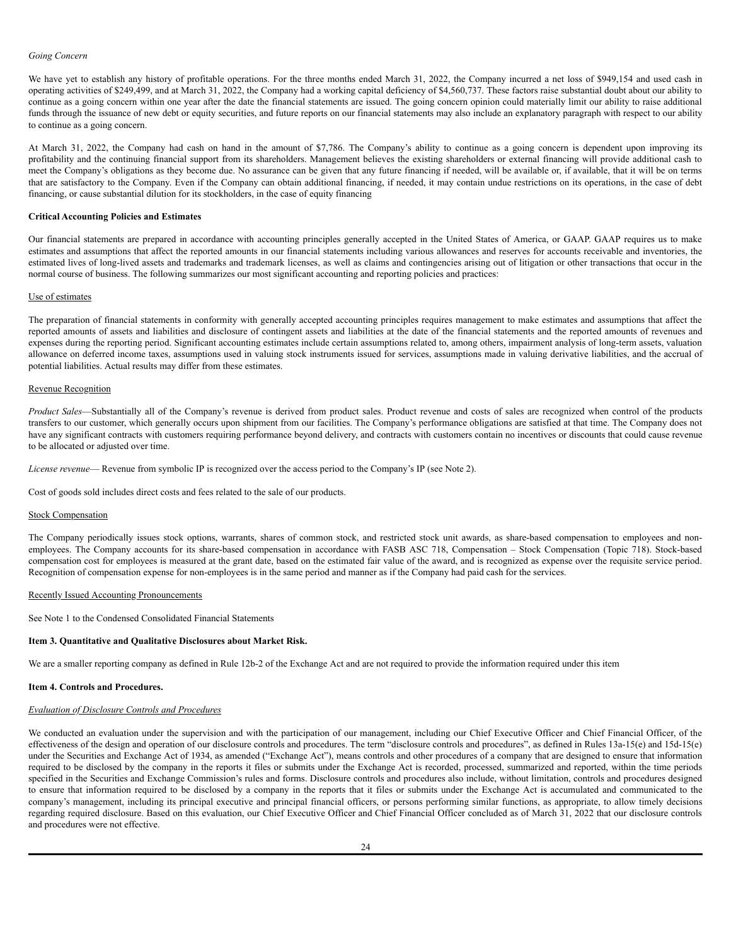#### *Going Concern*

We have yet to establish any history of profitable operations. For the three months ended March 31, 2022, the Company incurred a net loss of \$949,154 and used cash in operating activities of \$249,499, and at March 31, 2022, the Company had a working capital deficiency of \$4,560,737. These factors raise substantial doubt about our ability to continue as a going concern within one year after the date the financial statements are issued. The going concern opinion could materially limit our ability to raise additional funds through the issuance of new debt or equity securities, and future reports on our financial statements may also include an explanatory paragraph with respect to our ability to continue as a going concern.

At March 31, 2022, the Company had cash on hand in the amount of \$7,786. The Company's ability to continue as a going concern is dependent upon improving its profitability and the continuing financial support from its shareholders. Management believes the existing shareholders or external financing will provide additional cash to meet the Company's obligations as they become due. No assurance can be given that any future financing if needed, will be available or, if available, that it will be on terms that are satisfactory to the Company. Even if the Company can obtain additional financing, if needed, it may contain undue restrictions on its operations, in the case of debt financing, or cause substantial dilution for its stockholders, in the case of equity financing

#### **Critical Accounting Policies and Estimates**

Our financial statements are prepared in accordance with accounting principles generally accepted in the United States of America, or GAAP. GAAP requires us to make estimates and assumptions that affect the reported amounts in our financial statements including various allowances and reserves for accounts receivable and inventories, the estimated lives of long-lived assets and trademarks and trademark licenses, as well as claims and contingencies arising out of litigation or other transactions that occur in the normal course of business. The following summarizes our most significant accounting and reporting policies and practices:

#### Use of estimates

The preparation of financial statements in conformity with generally accepted accounting principles requires management to make estimates and assumptions that affect the reported amounts of assets and liabilities and disclosure of contingent assets and liabilities at the date of the financial statements and the reported amounts of revenues and expenses during the reporting period. Significant accounting estimates include certain assumptions related to, among others, impairment analysis of long-term assets, valuation allowance on deferred income taxes, assumptions used in valuing stock instruments issued for services, assumptions made in valuing derivative liabilities, and the accrual of potential liabilities. Actual results may differ from these estimates.

#### Revenue Recognition

*Product Sales*—Substantially all of the Company's revenue is derived from product sales. Product revenue and costs of sales are recognized when control of the products transfers to our customer, which generally occurs upon shipment from our facilities. The Company's performance obligations are satisfied at that time. The Company does not have any significant contracts with customers requiring performance beyond delivery, and contracts with customers contain no incentives or discounts that could cause revenue to be allocated or adjusted over time.

*License revenue*— Revenue from symbolic IP is recognized over the access period to the Company's IP (see Note 2).

Cost of goods sold includes direct costs and fees related to the sale of our products.

#### Stock Compensation

The Company periodically issues stock options, warrants, shares of common stock, and restricted stock unit awards, as share-based compensation to employees and nonemployees. The Company accounts for its share-based compensation in accordance with FASB ASC 718, Compensation – Stock Compensation (Topic 718). Stock-based compensation cost for employees is measured at the grant date, based on the estimated fair value of the award, and is recognized as expense over the requisite service period. Recognition of compensation expense for non-employees is in the same period and manner as if the Company had paid cash for the services.

#### Recently Issued Accounting Pronouncements

See Note 1 to the Condensed Consolidated Financial Statements

#### <span id="page-23-0"></span>**Item 3. Quantitative and Qualitative Disclosures about Market Risk.**

We are a smaller reporting company as defined in Rule 12b-2 of the Exchange Act and are not required to provide the information required under this item

#### <span id="page-23-1"></span>**Item 4. Controls and Procedures.**

## *Evaluation of Disclosure Controls and Procedures*

We conducted an evaluation under the supervision and with the participation of our management, including our Chief Executive Officer and Chief Financial Officer, of the effectiveness of the design and operation of our disclosure controls and procedures. The term "disclosure controls and procedures", as defined in Rules 13a-15(e) and 15d-15(e) under the Securities and Exchange Act of 1934, as amended ("Exchange Act"), means controls and other procedures of a company that are designed to ensure that information required to be disclosed by the company in the reports it files or submits under the Exchange Act is recorded, processed, summarized and reported, within the time periods specified in the Securities and Exchange Commission's rules and forms. Disclosure controls and procedures also include, without limitation, controls and procedures designed to ensure that information required to be disclosed by a company in the reports that it files or submits under the Exchange Act is accumulated and communicated to the company's management, including its principal executive and principal financial officers, or persons performing similar functions, as appropriate, to allow timely decisions regarding required disclosure. Based on this evaluation, our Chief Executive Officer and Chief Financial Officer concluded as of March 31, 2022 that our disclosure controls and procedures were not effective.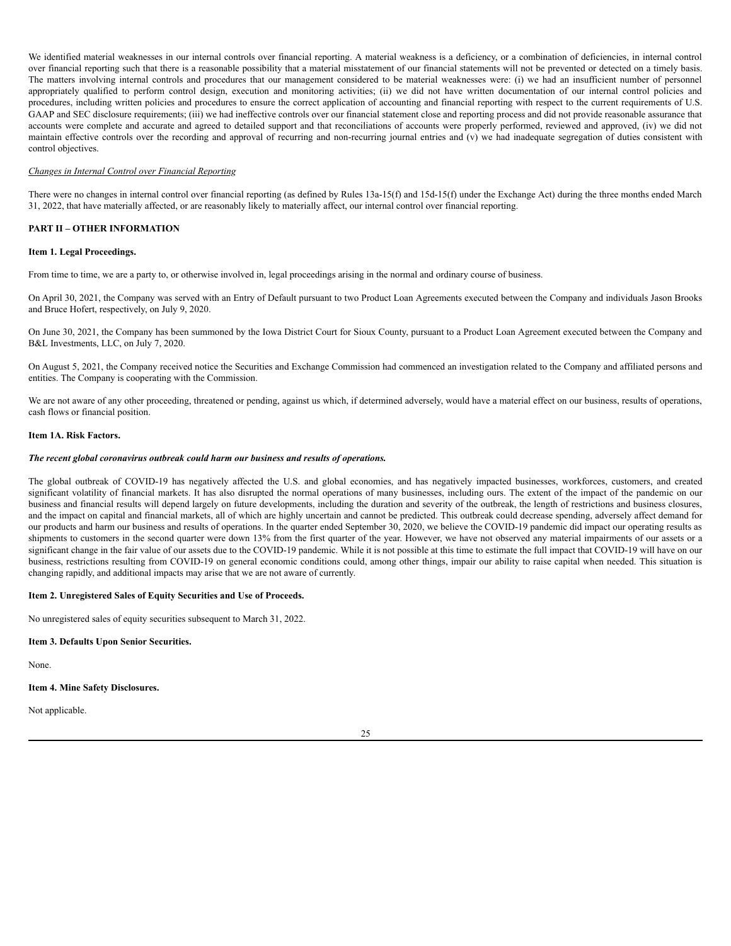We identified material weaknesses in our internal controls over financial reporting. A material weakness is a deficiency, or a combination of deficiencies, in internal control over financial reporting such that there is a reasonable possibility that a material misstatement of our financial statements will not be prevented or detected on a timely basis. The matters involving internal controls and procedures that our management considered to be material weaknesses were: (i) we had an insufficient number of personnel appropriately qualified to perform control design, execution and monitoring activities; (ii) we did not have written documentation of our internal control policies and procedures, including written policies and procedures to ensure the correct application of accounting and financial reporting with respect to the current requirements of U.S. GAAP and SEC disclosure requirements; (iii) we had ineffective controls over our financial statement close and reporting process and did not provide reasonable assurance that accounts were complete and accurate and agreed to detailed support and that reconciliations of accounts were properly performed, reviewed and approved, (iv) we did not maintain effective controls over the recording and approval of recurring and non-recurring journal entries and (v) we had inadequate segregation of duties consistent with control objectives.

#### *Changes in Internal Control over Financial Reporting*

There were no changes in internal control over financial reporting (as defined by Rules 13a-15(f) and 15d-15(f) under the Exchange Act) during the three months ended March 31, 2022, that have materially affected, or are reasonably likely to materially affect, our internal control over financial reporting.

## <span id="page-24-0"></span>**PART II – OTHER INFORMATION**

#### <span id="page-24-1"></span>**Item 1. Legal Proceedings.**

From time to time, we are a party to, or otherwise involved in, legal proceedings arising in the normal and ordinary course of business.

On April 30, 2021, the Company was served with an Entry of Default pursuant to two Product Loan Agreements executed between the Company and individuals Jason Brooks and Bruce Hofert, respectively, on July 9, 2020.

On June 30, 2021, the Company has been summoned by the Iowa District Court for Sioux County, pursuant to a Product Loan Agreement executed between the Company and B&L Investments, LLC, on July 7, 2020.

On August 5, 2021, the Company received notice the Securities and Exchange Commission had commenced an investigation related to the Company and affiliated persons and entities. The Company is cooperating with the Commission.

We are not aware of any other proceeding, threatened or pending, against us which, if determined adversely, would have a material effect on our business, results of operations, cash flows or financial position.

#### <span id="page-24-2"></span>**Item 1A. Risk Factors.**

#### *The recent global coronavirus outbreak could harm our business and results of operations.*

The global outbreak of COVID-19 has negatively affected the U.S. and global economies, and has negatively impacted businesses, workforces, customers, and created significant volatility of financial markets. It has also disrupted the normal operations of many businesses, including ours. The extent of the impact of the pandemic on our business and financial results will depend largely on future developments, including the duration and severity of the outbreak, the length of restrictions and business closures, and the impact on capital and financial markets, all of which are highly uncertain and cannot be predicted. This outbreak could decrease spending, adversely affect demand for our products and harm our business and results of operations. In the quarter ended September 30, 2020, we believe the COVID-19 pandemic did impact our operating results as shipments to customers in the second quarter were down 13% from the first quarter of the year. However, we have not observed any material impairments of our assets or a significant change in the fair value of our assets due to the COVID-19 pandemic. While it is not possible at this time to estimate the full impact that COVID-19 will have on our business, restrictions resulting from COVID-19 on general economic conditions could, among other things, impair our ability to raise capital when needed. This situation is changing rapidly, and additional impacts may arise that we are not aware of currently.

#### <span id="page-24-3"></span>**Item 2. Unregistered Sales of Equity Securities and Use of Proceeds.**

No unregistered sales of equity securities subsequent to March 31, 2022.

#### <span id="page-24-4"></span>**Item 3. Defaults Upon Senior Securities.**

None.

## <span id="page-24-5"></span>**Item 4. Mine Safety Disclosures.**

Not applicable.

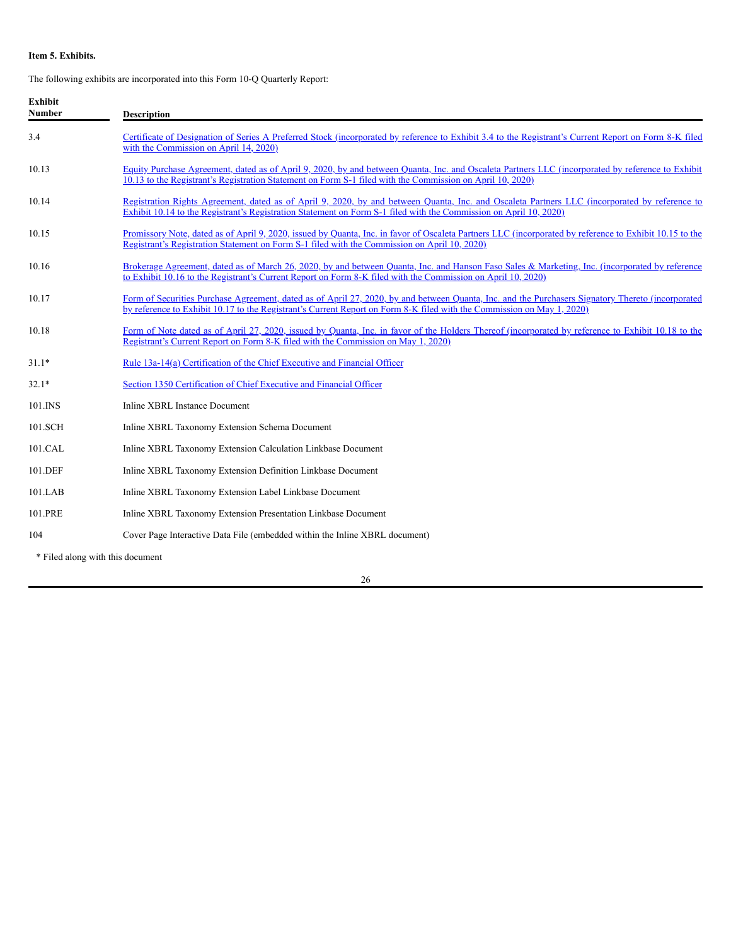## <span id="page-25-0"></span>**Item 5. Exhibits.**

The following exhibits are incorporated into this Form 10-Q Quarterly Report:

| <b>Exhibit</b><br><b>Number</b>  | <b>Description</b>                                                                                                                                                                                                                                                          |
|----------------------------------|-----------------------------------------------------------------------------------------------------------------------------------------------------------------------------------------------------------------------------------------------------------------------------|
| 3.4                              | Certificate of Designation of Series A Preferred Stock (incorporated by reference to Exhibit 3.4 to the Registrant's Current Report on Form 8-K filed<br>with the Commission on April 14, 2020)                                                                             |
| 10.13                            | Equity Purchase Agreement, dated as of April 9, 2020, by and between Quanta, Inc. and Oscaleta Partners LLC (incorporated by reference to Exhibit<br>10.13 to the Registrant's Registration Statement on Form S-1 filed with the Commission on April 10, 2020)              |
| 10.14                            | Registration Rights Agreement, dated as of April 9, 2020, by and between Quanta, Inc. and Oscaleta Partners LLC (incorporated by reference to<br>Exhibit 10.14 to the Registrant's Registration Statement on Form S-1 filed with the Commission on April 10, 2020)          |
| 10.15                            | Promissory Note, dated as of April 9, 2020, issued by Quanta, Inc. in favor of Oscaleta Partners LLC (incorporated by reference to Exhibit 10.15 to the<br>Registrant's Registration Statement on Form S-1 filed with the Commission on April 10, 2020)                     |
| 10.16                            | Brokerage Agreement, dated as of March 26, 2020, by and between Quanta, Inc. and Hanson Faso Sales & Marketing, Inc. (incorporated by reference<br>to Exhibit 10.16 to the Registrant's Current Report on Form 8-K filed with the Commission on April 10, 2020)             |
| 10.17                            | Form of Securities Purchase Agreement, dated as of April 27, 2020, by and between Quanta, Inc. and the Purchasers Signatory Thereto (incorporated<br>by reference to Exhibit 10.17 to the Registrant's Current Report on Form 8-K filed with the Commission on May 1, 2020) |
| 10.18                            | Form of Note dated as of April 27, 2020, issued by Quanta, Inc. in favor of the Holders Thereof (incorporated by reference to Exhibit 10.18 to the<br>Registrant's Current Report on Form 8-K filed with the Commission on May 1, 2020)                                     |
| $31.1*$                          | Rule 13a-14(a) Certification of the Chief Executive and Financial Officer                                                                                                                                                                                                   |
| $32.1*$                          | Section 1350 Certification of Chief Executive and Financial Officer                                                                                                                                                                                                         |
| 101.INS                          | Inline XBRL Instance Document                                                                                                                                                                                                                                               |
| 101.SCH                          | Inline XBRL Taxonomy Extension Schema Document                                                                                                                                                                                                                              |
| 101.CAL                          | Inline XBRL Taxonomy Extension Calculation Linkbase Document                                                                                                                                                                                                                |
| 101.DEF                          | Inline XBRL Taxonomy Extension Definition Linkbase Document                                                                                                                                                                                                                 |
| 101.LAB                          | Inline XBRL Taxonomy Extension Label Linkbase Document                                                                                                                                                                                                                      |
| 101.PRE                          | Inline XBRL Taxonomy Extension Presentation Linkbase Document                                                                                                                                                                                                               |
| 104                              | Cover Page Interactive Data File (embedded within the Inline XBRL document)                                                                                                                                                                                                 |
| * Filed along with this document |                                                                                                                                                                                                                                                                             |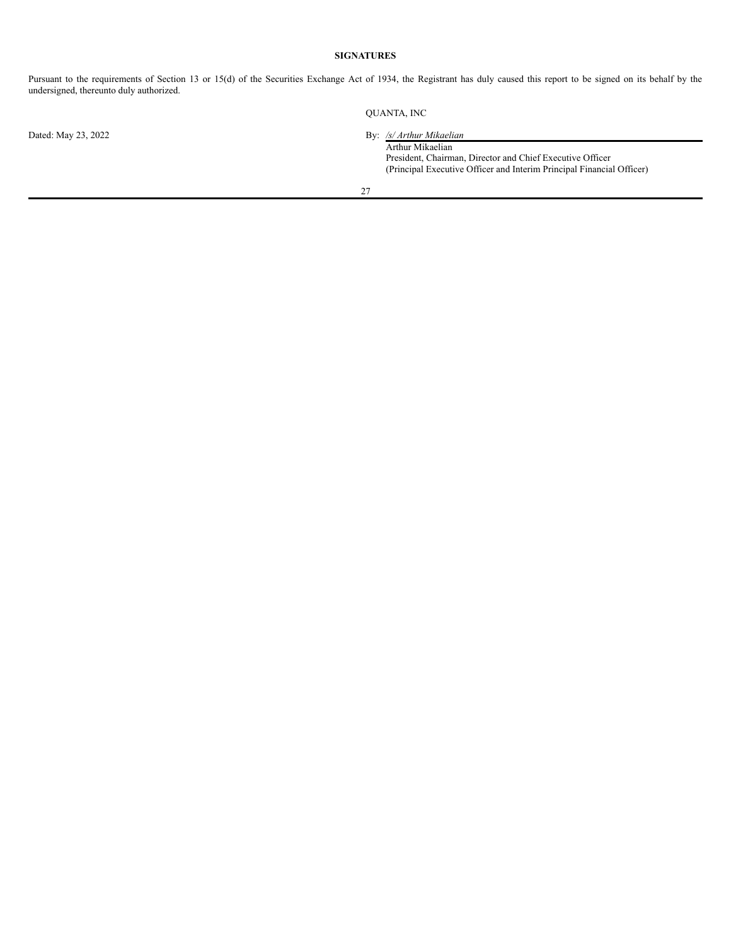## **SIGNATURES**

<span id="page-26-0"></span>Pursuant to the requirements of Section 13 or 15(d) of the Securities Exchange Act of 1934, the Registrant has duly caused this report to be signed on its behalf by the undersigned, thereunto duly authorized.

Dated: May 23, 2022 By: */s/ Arthur Mikaelian*

QUANTA, INC

Arthur Mikaelian President, Chairman, Director and Chief Executive Officer (Principal Executive Officer and Interim Principal Financial Officer)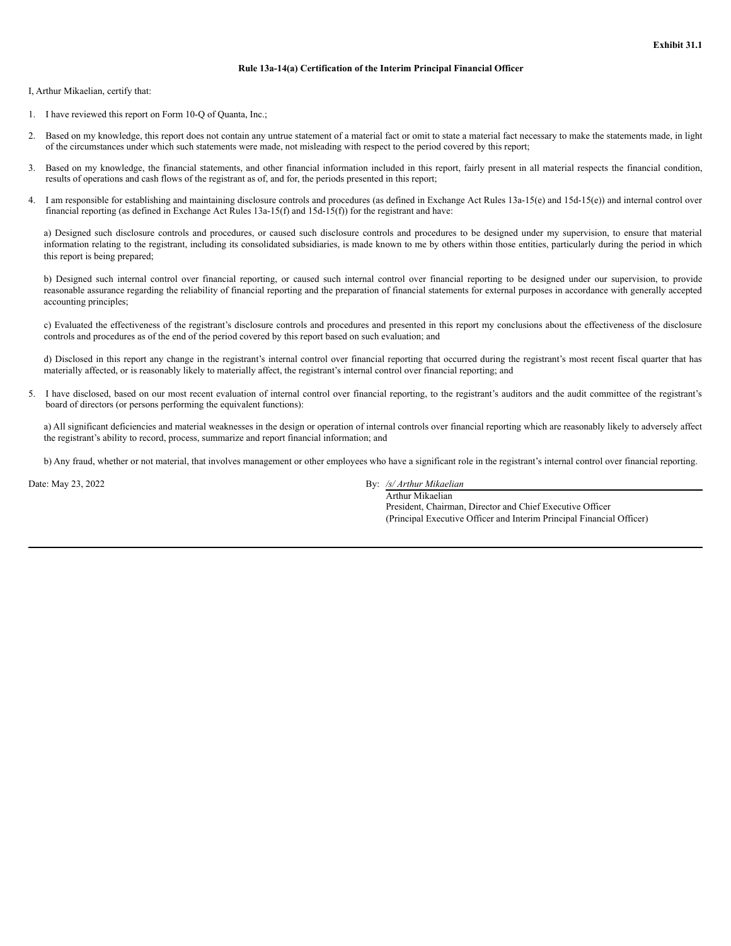#### **Rule 13a-14(a) Certification of the Interim Principal Financial Officer**

I, Arthur Mikaelian, certify that:

- 1. I have reviewed this report on Form 10-Q of Quanta, Inc.;
- 2. Based on my knowledge, this report does not contain any untrue statement of a material fact or omit to state a material fact necessary to make the statements made, in light of the circumstances under which such statements were made, not misleading with respect to the period covered by this report;
- 3. Based on my knowledge, the financial statements, and other financial information included in this report, fairly present in all material respects the financial condition, results of operations and cash flows of the registrant as of, and for, the periods presented in this report;
- 4. I am responsible for establishing and maintaining disclosure controls and procedures (as defined in Exchange Act Rules 13a-15(e) and 15d-15(e)) and internal control over financial reporting (as defined in Exchange Act Rules 13a-15(f) and 15d-15(f)) for the registrant and have:

a) Designed such disclosure controls and procedures, or caused such disclosure controls and procedures to be designed under my supervision, to ensure that material information relating to the registrant, including its consolidated subsidiaries, is made known to me by others within those entities, particularly during the period in which this report is being prepared;

b) Designed such internal control over financial reporting, or caused such internal control over financial reporting to be designed under our supervision, to provide reasonable assurance regarding the reliability of financial reporting and the preparation of financial statements for external purposes in accordance with generally accepted accounting principles;

c) Evaluated the effectiveness of the registrant's disclosure controls and procedures and presented in this report my conclusions about the effectiveness of the disclosure controls and procedures as of the end of the period covered by this report based on such evaluation; and

d) Disclosed in this report any change in the registrant's internal control over financial reporting that occurred during the registrant's most recent fiscal quarter that has materially affected, or is reasonably likely to materially affect, the registrant's internal control over financial reporting; and

5. I have disclosed, based on our most recent evaluation of internal control over financial reporting, to the registrant's auditors and the audit committee of the registrant's board of directors (or persons performing the equivalent functions):

a) All significant deficiencies and material weaknesses in the design or operation of internal controls over financial reporting which are reasonably likely to adversely affect the registrant's ability to record, process, summarize and report financial information; and

b) Any fraud, whether or not material, that involves management or other employees who have a significant role in the registrant's internal control over financial reporting.

Date: May 23, 2022 By: */s/ Arthur Mikaelian*

Arthur Mikaelian President, Chairman, Director and Chief Executive Officer (Principal Executive Officer and Interim Principal Financial Officer)